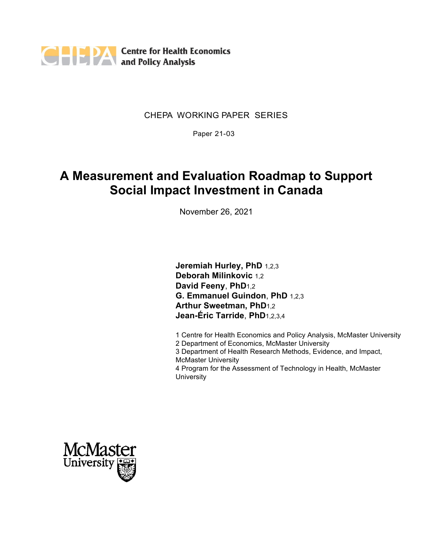

### CHEPA WORKING PAPER SERIES

Paper 21-03

# **A Measurement and Evaluation Roadmap to Support Social Impact Investment in Canada**

November 26, 2021

**Jeremiah Hurley, PhD** 1,2,3 **Deborah Milinkovic** 1,2 **David Feeny**, **PhD**1,2 **G. Emmanuel Guindon**, **PhD** 1,2,3 **Arthur Sweetman, PhD**1,2 **Jean-Éric Tarride**, **PhD**1,2,3,4

1 Centre for Health Economics and Policy Analysis, McMaster University 2 Department of Economics, McMaster University 3 Department of Health Research Methods, Evidence, and Impact, McMaster University 4 Program for the Assessment of Technology in Health, McMaster **University** 

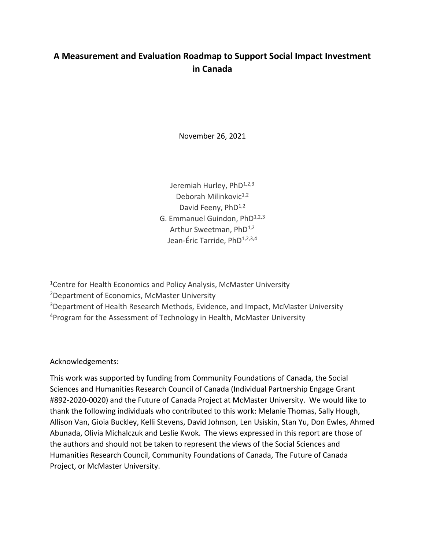## **A Measurement and Evaluation Roadmap to Support Social Impact Investment in Canada**

November 26, 2021

Jeremiah Hurley, PhD<sup>1,2,3</sup> Deborah Milinkovic<sup>1,2</sup> David Feeny, PhD<sup>1,2</sup> G. Emmanuel Guindon, PhD<sup>1,2,3</sup> Arthur Sweetman, PhD<sup>1,2</sup> Jean-Éric Tarride, PhD<sup>1,2,3,4</sup>

<sup>1</sup> Centre for Health Economics and Policy Analysis, McMaster University <sup>2</sup>Department of Economics, McMaster University <sup>3</sup>Department of Health Research Methods, Evidence, and Impact, McMaster University <sup>4</sup>Program for the Assessment of Technology in Health, McMaster University

Acknowledgements:

This work was supported by funding from Community Foundations of Canada, the Social Sciences and Humanities Research Council of Canada (Individual Partnership Engage Grant #892-2020-0020) and the Future of Canada Project at McMaster University. We would like to thank the following individuals who contributed to this work: Melanie Thomas, Sally Hough, Allison Van, Gioia Buckley, Kelli Stevens, David Johnson, Len Usiskin, Stan Yu, Don Ewles, Ahmed Abunada, Olivia Michalczuk and Leslie Kwok. The views expressed in this report are those of the authors and should not be taken to represent the views of the Social Sciences and Humanities Research Council, Community Foundations of Canada, The Future of Canada Project, or McMaster University.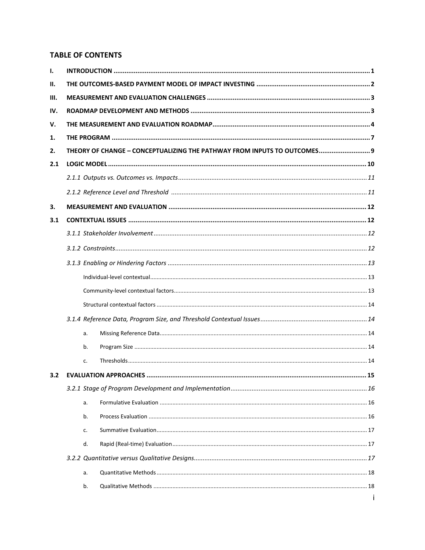## **TABLE OF CONTENTS**

| $\mathbf{I}$ . |    |                                                                          |  |  |
|----------------|----|--------------------------------------------------------------------------|--|--|
| II.            |    |                                                                          |  |  |
| Ш.             |    |                                                                          |  |  |
| IV.            |    |                                                                          |  |  |
| V.             |    |                                                                          |  |  |
| 1.             |    |                                                                          |  |  |
| 2.             |    | THEORY OF CHANGE - CONCEPTUALIZING THE PATHWAY FROM INPUTS TO OUTCOMES 9 |  |  |
| 2.1            |    |                                                                          |  |  |
|                |    |                                                                          |  |  |
|                |    |                                                                          |  |  |
| З.             |    |                                                                          |  |  |
| 3.1            |    |                                                                          |  |  |
|                |    |                                                                          |  |  |
|                |    |                                                                          |  |  |
|                |    |                                                                          |  |  |
|                |    |                                                                          |  |  |
|                |    |                                                                          |  |  |
|                |    |                                                                          |  |  |
|                |    |                                                                          |  |  |
|                | a. |                                                                          |  |  |
|                | b. |                                                                          |  |  |
|                | c. |                                                                          |  |  |
| 3.2            |    |                                                                          |  |  |
|                |    |                                                                          |  |  |
|                | a. |                                                                          |  |  |
|                | b. |                                                                          |  |  |
|                | c. |                                                                          |  |  |
|                | d. |                                                                          |  |  |
|                |    |                                                                          |  |  |
|                | a. |                                                                          |  |  |
|                | b. |                                                                          |  |  |
|                |    |                                                                          |  |  |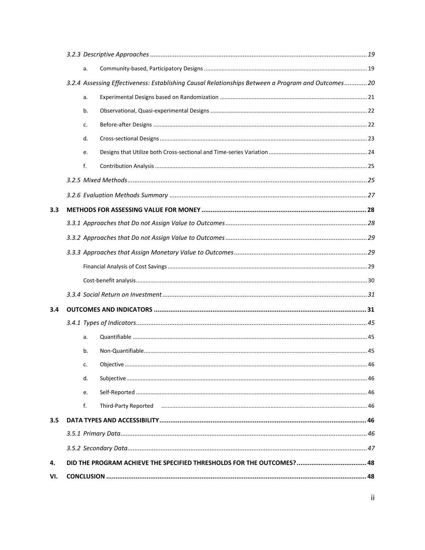|     | a. |                                                                                                   |  |
|-----|----|---------------------------------------------------------------------------------------------------|--|
|     |    | 3.2.4 Assessing Effectiveness: Establishing Causal Relationships Between a Program and Outcomes20 |  |
|     | a. |                                                                                                   |  |
|     | b. |                                                                                                   |  |
|     | c. |                                                                                                   |  |
|     | d. |                                                                                                   |  |
|     | e. |                                                                                                   |  |
|     | f. |                                                                                                   |  |
|     |    |                                                                                                   |  |
|     |    |                                                                                                   |  |
| 3.3 |    |                                                                                                   |  |
|     |    |                                                                                                   |  |
|     |    |                                                                                                   |  |
|     |    |                                                                                                   |  |
|     |    |                                                                                                   |  |
|     |    |                                                                                                   |  |
|     |    |                                                                                                   |  |
| 3.4 |    |                                                                                                   |  |
|     |    |                                                                                                   |  |
|     | a. |                                                                                                   |  |
|     | b. |                                                                                                   |  |
|     | c. |                                                                                                   |  |
|     | d. |                                                                                                   |  |
|     | e. |                                                                                                   |  |
|     | f. |                                                                                                   |  |
| 3.5 |    |                                                                                                   |  |
|     |    |                                                                                                   |  |
|     |    |                                                                                                   |  |
| 4.  |    | DID THE PROGRAM ACHIEVE THE SPECIFIED THRESHOLDS FOR THE OUTCOMES?  48                            |  |
| VI. |    |                                                                                                   |  |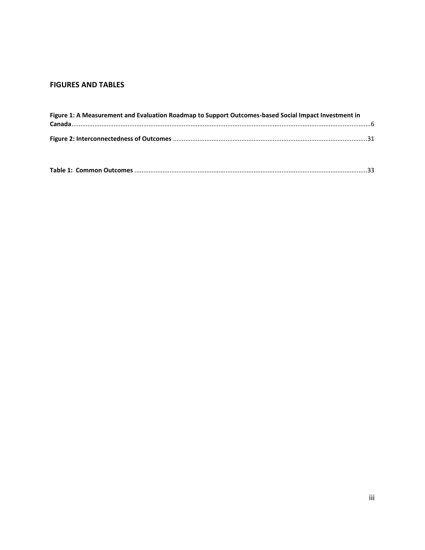## **FIGURES AND TABLES**

| Figure 1: A Measurement and Evaluation Roadmap to Support Outcomes-based Social Impact Investment in |  |
|------------------------------------------------------------------------------------------------------|--|
|                                                                                                      |  |
|                                                                                                      |  |
|                                                                                                      |  |
|                                                                                                      |  |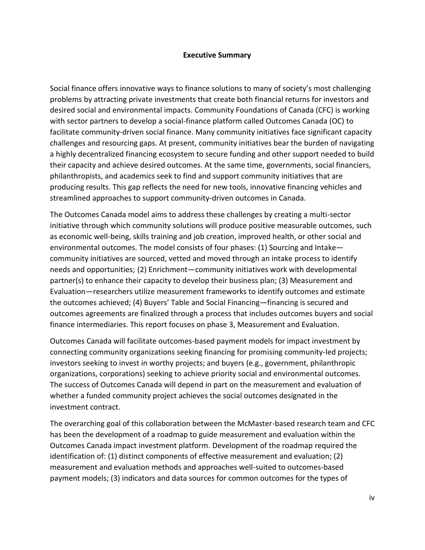#### **Executive Summary**

Social finance offers innovative ways to finance solutions to many of society's most challenging problems by attracting private investments that create both financial returns for investors and desired social and environmental impacts. Community Foundations of Canada (CFC) is working with sector partners to develop a social-finance platform called Outcomes Canada (OC) to facilitate community-driven social finance. Many community initiatives face significant capacity challenges and resourcing gaps. At present, community initiatives bear the burden of navigating a highly decentralized financing ecosystem to secure funding and other support needed to build their capacity and achieve desired outcomes. At the same time, governments, social financiers, philanthropists, and academics seek to find and support community initiatives that are producing results. This gap reflects the need for new tools, innovative financing vehicles and streamlined approaches to support community-driven outcomes in Canada.

The Outcomes Canada model aims to address these challenges by creating a multi-sector initiative through which community solutions will produce positive measurable outcomes, such as economic well-being, skills training and job creation, improved health, or other social and environmental outcomes. The model consists of four phases: (1) Sourcing and Intake community initiatives are sourced, vetted and moved through an intake process to identify needs and opportunities; (2) Enrichment—community initiatives work with developmental partner(s) to enhance their capacity to develop their business plan; (3) Measurement and Evaluation—researchers utilize measurement frameworks to identify outcomes and estimate the outcomes achieved; (4) Buyers' Table and Social Financing—financing is secured and outcomes agreements are finalized through a process that includes outcomes buyers and social finance intermediaries. This report focuses on phase 3, Measurement and Evaluation.

Outcomes Canada will facilitate outcomes-based payment models for impact investment by connecting community organizations seeking financing for promising community-led projects; investors seeking to invest in worthy projects; and buyers (e.g., government, philanthropic organizations, corporations) seeking to achieve priority social and environmental outcomes. The success of Outcomes Canada will depend in part on the measurement and evaluation of whether a funded community project achieves the social outcomes designated in the investment contract.

The overarching goal of this collaboration between the McMaster-based research team and CFC has been the development of a roadmap to guide measurement and evaluation within the Outcomes Canada impact investment platform. Development of the roadmap required the identification of: (1) distinct components of effective measurement and evaluation; (2) measurement and evaluation methods and approaches well-suited to outcomes-based payment models; (3) indicators and data sources for common outcomes for the types of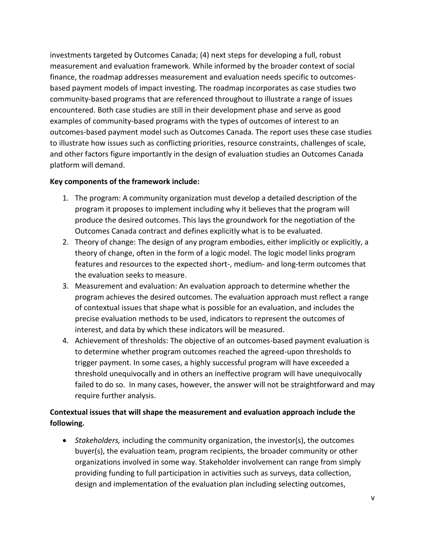investments targeted by Outcomes Canada; (4) next steps for developing a full, robust measurement and evaluation framework. While informed by the broader context of social finance, the roadmap addresses measurement and evaluation needs specific to outcomesbased payment models of impact investing. The roadmap incorporates as case studies two community-based programs that are referenced throughout to illustrate a range of issues encountered. Both case studies are still in their development phase and serve as good examples of community-based programs with the types of outcomes of interest to an outcomes-based payment model such as Outcomes Canada. The report uses these case studies to illustrate how issues such as conflicting priorities, resource constraints, challenges of scale, and other factors figure importantly in the design of evaluation studies an Outcomes Canada platform will demand.

#### **Key components of the framework include:**

- 1. The program: A community organization must develop a detailed description of the program it proposes to implement including why it believes that the program will produce the desired outcomes. This lays the groundwork for the negotiation of the Outcomes Canada contract and defines explicitly what is to be evaluated.
- 2. Theory of change: The design of any program embodies, either implicitly or explicitly, a theory of change, often in the form of a logic model. The logic model links program features and resources to the expected short-, medium- and long-term outcomes that the evaluation seeks to measure.
- 3. Measurement and evaluation: An evaluation approach to determine whether the program achieves the desired outcomes. The evaluation approach must reflect a range of contextual issues that shape what is possible for an evaluation, and includes the precise evaluation methods to be used, indicators to represent the outcomes of interest, and data by which these indicators will be measured.
- 4. Achievement of thresholds: The objective of an outcomes-based payment evaluation is to determine whether program outcomes reached the agreed-upon thresholds to trigger payment. In some cases, a highly successful program will have exceeded a threshold unequivocally and in others an ineffective program will have unequivocally failed to do so. In many cases, however, the answer will not be straightforward and may require further analysis.

## **Contextual issues that will shape the measurement and evaluation approach include the following.**

• *Stakeholders,* including the community organization, the investor(s), the outcomes buyer(s), the evaluation team, program recipients, the broader community or other organizations involved in some way. Stakeholder involvement can range from simply providing funding to full participation in activities such as surveys, data collection, design and implementation of the evaluation plan including selecting outcomes,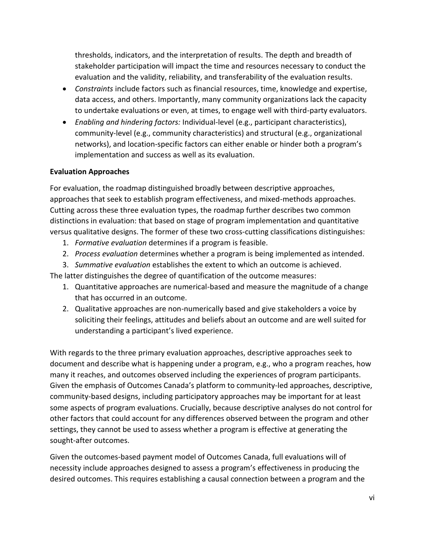thresholds, indicators, and the interpretation of results. The depth and breadth of stakeholder participation will impact the time and resources necessary to conduct the evaluation and the validity, reliability, and transferability of the evaluation results.

- *Constraints* include factors such as financial resources, time, knowledge and expertise, data access, and others. Importantly, many community organizations lack the capacity to undertake evaluations or even, at times, to engage well with third-party evaluators.
- *Enabling and hindering factors:* Individual-level (e.g., participant characteristics), community-level (e.g., community characteristics) and structural (e.g., organizational networks), and location-specific factors can either enable or hinder both a program's implementation and success as well as its evaluation.

### **Evaluation Approaches**

For evaluation, the roadmap distinguished broadly between descriptive approaches, approaches that seek to establish program effectiveness, and mixed-methods approaches. Cutting across these three evaluation types, the roadmap further describes two common distinctions in evaluation: that based on stage of program implementation and quantitative versus qualitative designs. The former of these two cross-cutting classifications distinguishes:

- 1. *Formative evaluation* determines if a program is feasible.
- 2. *Process evaluation* determines whether a program is being implemented as intended.
- 3. *Summative evaluation* establishes the extent to which an outcome is achieved.

The latter distinguishes the degree of quantification of the outcome measures:

- 1. Quantitative approaches are numerical-based and measure the magnitude of a change that has occurred in an outcome.
- 2. Qualitative approaches are non-numerically based and give stakeholders a voice by soliciting their feelings, attitudes and beliefs about an outcome and are well suited for understanding a participant's lived experience.

With regards to the three primary evaluation approaches, descriptive approaches seek to document and describe what is happening under a program, e.g., who a program reaches, how many it reaches, and outcomes observed including the experiences of program participants. Given the emphasis of Outcomes Canada's platform to community-led approaches, descriptive, community-based designs, including participatory approaches may be important for at least some aspects of program evaluations. Crucially, because descriptive analyses do not control for other factors that could account for any differences observed between the program and other settings, they cannot be used to assess whether a program is effective at generating the sought-after outcomes.

Given the outcomes-based payment model of Outcomes Canada, full evaluations will of necessity include approaches designed to assess a program's effectiveness in producing the desired outcomes. This requires establishing a causal connection between a program and the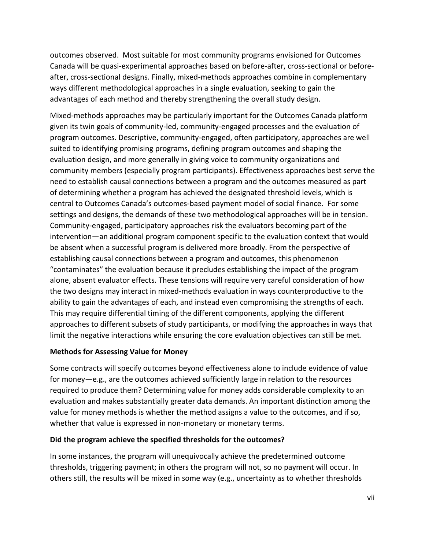outcomes observed. Most suitable for most community programs envisioned for Outcomes Canada will be quasi-experimental approaches based on before-after, cross-sectional or beforeafter, cross-sectional designs. Finally, mixed-methods approaches combine in complementary ways different methodological approaches in a single evaluation, seeking to gain the advantages of each method and thereby strengthening the overall study design.

Mixed-methods approaches may be particularly important for the Outcomes Canada platform given its twin goals of community-led, community-engaged processes and the evaluation of program outcomes. Descriptive, community-engaged, often participatory, approaches are well suited to identifying promising programs, defining program outcomes and shaping the evaluation design, and more generally in giving voice to community organizations and community members (especially program participants). Effectiveness approaches best serve the need to establish causal connections between a program and the outcomes measured as part of determining whether a program has achieved the designated threshold levels, which is central to Outcomes Canada's outcomes-based payment model of social finance. For some settings and designs, the demands of these two methodological approaches will be in tension. Community-engaged, participatory approaches risk the evaluators becoming part of the intervention—an additional program component specific to the evaluation context that would be absent when a successful program is delivered more broadly. From the perspective of establishing causal connections between a program and outcomes, this phenomenon "contaminates" the evaluation because it precludes establishing the impact of the program alone, absent evaluator effects. These tensions will require very careful consideration of how the two designs may interact in mixed-methods evaluation in ways counterproductive to the ability to gain the advantages of each, and instead even compromising the strengths of each. This may require differential timing of the different components, applying the different approaches to different subsets of study participants, or modifying the approaches in ways that limit the negative interactions while ensuring the core evaluation objectives can still be met.

#### **Methods for Assessing Value for Money**

Some contracts will specify outcomes beyond effectiveness alone to include evidence of value for money—e.g., are the outcomes achieved sufficiently large in relation to the resources required to produce them? Determining value for money adds considerable complexity to an evaluation and makes substantially greater data demands. An important distinction among the value for money methods is whether the method assigns a value to the outcomes, and if so, whether that value is expressed in non-monetary or monetary terms.

#### **Did the program achieve the specified thresholds for the outcomes?**

In some instances, the program will unequivocally achieve the predetermined outcome thresholds, triggering payment; in others the program will not, so no payment will occur. In others still, the results will be mixed in some way (e.g., uncertainty as to whether thresholds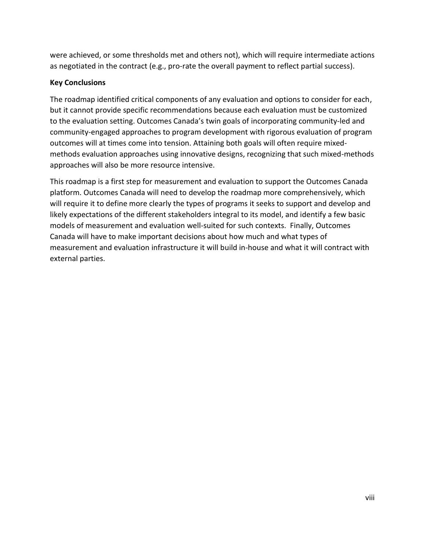were achieved, or some thresholds met and others not), which will require intermediate actions as negotiated in the contract (e.g., pro-rate the overall payment to reflect partial success).

### **Key Conclusions**

The roadmap identified critical components of any evaluation and options to consider for each, but it cannot provide specific recommendations because each evaluation must be customized to the evaluation setting. Outcomes Canada's twin goals of incorporating community-led and community-engaged approaches to program development with rigorous evaluation of program outcomes will at times come into tension. Attaining both goals will often require mixedmethods evaluation approaches using innovative designs, recognizing that such mixed-methods approaches will also be more resource intensive.

This roadmap is a first step for measurement and evaluation to support the Outcomes Canada platform. Outcomes Canada will need to develop the roadmap more comprehensively, which will require it to define more clearly the types of programs it seeks to support and develop and likely expectations of the different stakeholders integral to its model, and identify a few basic models of measurement and evaluation well-suited for such contexts. Finally, Outcomes Canada will have to make important decisions about how much and what types of measurement and evaluation infrastructure it will build in-house and what it will contract with external parties.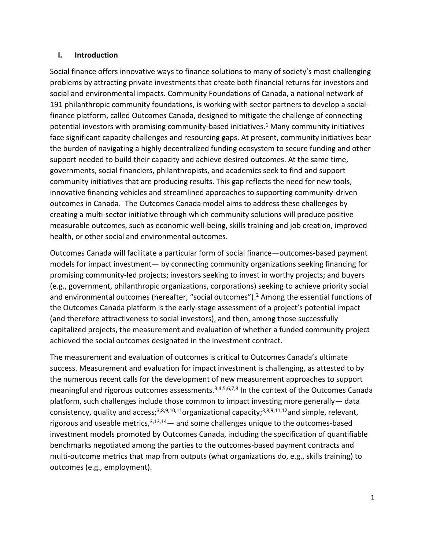#### <span id="page-10-0"></span>**I. Introduction**

Social finance offers innovative ways to finance solutions to many of society's most challenging problems by attracting private investments that create both financial returns for investors and social and environmental impacts. Community Foundations of Canada, a national network of 191 philanthropic community foundations, is working with sector partners to develop a socialfinance platform, called Outcomes Canada, designed to mitigate the challenge of connecting potential investors with promising community-based initiatives. <sup>1</sup> Many community initiatives face significant capacity challenges and resourcing gaps. At present, community initiatives bear the burden of navigating a highly decentralized funding ecosystem to secure funding and other support needed to build their capacity and achieve desired outcomes. At the same time, governments, social financiers, philanthropists, and academics seek to find and support community initiatives that are producing results. This gap reflects the need for new tools, innovative financing vehicles and streamlined approaches to supporting community-driven outcomes in Canada. The Outcomes Canada model aims to address these challenges by creating a multi-sector initiative through which community solutions will produce positive measurable outcomes, such as economic well-being, skills training and job creation, improved health, or other social and environmental outcomes.

Outcomes Canada will facilitate a particular form of social finance—outcomes-based payment models for impact investment— by connecting community organizations seeking financing for promising community-led projects; investors seeking to invest in worthy projects; and buyers (e.g., government, philanthropic organizations, corporations) seeking to achieve priority social and environmental outcomes (hereafter, "social outcomes").<sup>2</sup> Among the essential functions of the Outcomes Canada platform is the early-stage assessment of a project's potential impact (and therefore attractiveness to social investors), and then, among those successfully capitalized projects, the measurement and evaluation of whether a funded community project achieved the social outcomes designated in the investment contract.

The measurement and evaluation of outcomes is critical to Outcomes Canada's ultimate success. Measurement and evaluation for impact investment is challenging, as attested to by the numerous recent calls for the development of new measurement approaches to support meaningful and rigorous outcomes assessments.<sup>3,4,5,6,7,8</sup> In the context of the Outcomes Canada platform, such challenges include those common to impact investing more generally— data consistency, quality and access;<sup>3,8,9,10,11</sup>organizational capacity;<sup>3,8,9,11,12</sup>and simple, relevant, rigorous and useable metrics,  $3,13,14$  — and some challenges unique to the outcomes-based investment models promoted by Outcomes Canada, including the specification of quantifiable benchmarks negotiated among the parties to the outcomes-based payment contracts and multi-outcome metrics that map from outputs (what organizations do, e.g., skills training) to outcomes (e.g., employment).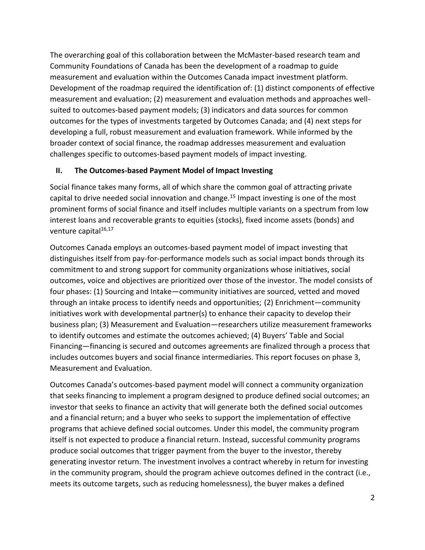The overarching goal of this collaboration between the McMaster-based research team and Community Foundations of Canada has been the development of a roadmap to guide measurement and evaluation within the Outcomes Canada impact investment platform. Development of the roadmap required the identification of: (1) distinct components of effective measurement and evaluation; (2) measurement and evaluation methods and approaches wellsuited to outcomes-based payment models; (3) indicators and data sources for common outcomes for the types of investments targeted by Outcomes Canada; and (4) next steps for developing a full, robust measurement and evaluation framework. While informed by the broader context of social finance, the roadmap addresses measurement and evaluation challenges specific to outcomes-based payment models of impact investing.

## <span id="page-11-0"></span>**II. The Outcomes-based Payment Model of Impact Investing**

Social finance takes many forms, all of which share the common goal of attracting private capital to drive needed social innovation and change.<sup>15</sup> Impact investing is one of the most prominent forms of social finance and itself includes multiple variants on a spectrum from low interest loans and recoverable grants to equities (stocks), fixed income assets (bonds) and venture capital<sup>16,17</sup>

Outcomes Canada employs an outcomes-based payment model of impact investing that distinguishes itself from pay-for-performance models such as social impact bonds through its commitment to and strong support for community organizations whose initiatives, social outcomes, voice and objectives are prioritized over those of the investor. The model consists of four phases: (1) Sourcing and Intake—community initiatives are sourced, vetted and moved through an intake process to identify needs and opportunities; (2) Enrichment—community initiatives work with developmental partner(s) to enhance their capacity to develop their business plan; (3) Measurement and Evaluation—researchers utilize measurement frameworks to identify outcomes and estimate the outcomes achieved; (4) Buyers' Table and Social Financing—financing is secured and outcomes agreements are finalized through a process that includes outcomes buyers and social finance intermediaries. This report focuses on phase 3, Measurement and Evaluation.

Outcomes Canada's outcomes-based payment model will connect a community organization that seeks financing to implement a program designed to produce defined social outcomes; an investor that seeks to finance an activity that will generate both the defined social outcomes and a financial return; and a buyer who seeks to support the implementation of effective programs that achieve defined social outcomes. Under this model, the community program itself is not expected to produce a financial return. Instead, successful community programs produce social outcomes that trigger payment from the buyer to the investor, thereby generating investor return. The investment involves a contract whereby in return for investing in the community program, should the program achieve outcomes defined in the contract (i.e., meets its outcome targets, such as reducing homelessness), the buyer makes a defined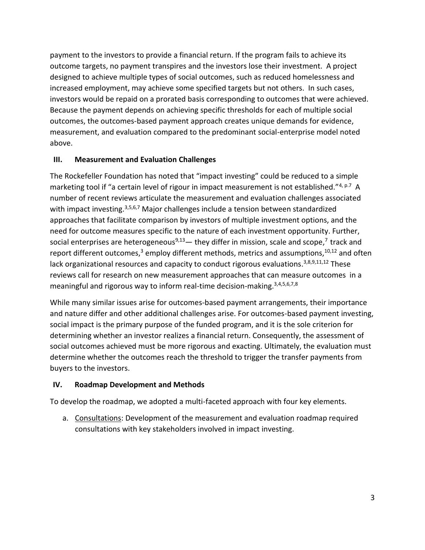payment to the investors to provide a financial return. If the program fails to achieve its outcome targets, no payment transpires and the investors lose their investment. A project designed to achieve multiple types of social outcomes, such as reduced homelessness and increased employment, may achieve some specified targets but not others. In such cases, investors would be repaid on a prorated basis corresponding to outcomes that were achieved. Because the payment depends on achieving specific thresholds for each of multiple social outcomes, the outcomes-based payment approach creates unique demands for evidence, measurement, and evaluation compared to the predominant social-enterprise model noted above.

### <span id="page-12-0"></span>**III. Measurement and Evaluation Challenges**

The Rockefeller Foundation has noted that "impact investing" could be reduced to a simple marketing tool if "a certain level of rigour in impact measurement is not established."<sup>4, p.7</sup> A number of recent reviews articulate the measurement and evaluation challenges associated with impact investing.<sup>3,5,6,7</sup> Major challenges include a tension between standardized approaches that facilitate comparison by investors of multiple investment options, and the need for outcome measures specific to the nature of each investment opportunity. Further, social enterprises are heterogeneous<sup>9,13</sup> — they differ in mission, scale and scope,<sup>7</sup> track and report different outcomes,<sup>3</sup> employ different methods, metrics and assumptions,  $10,12$  and often lack organizational resources and capacity to conduct rigorous evaluations.<sup>3,8,9,11,12</sup> These reviews call for research on new measurement approaches that can measure outcomes in a meaningful and rigorous way to inform real-time decision-making.<sup>3,4,5,6,7,8</sup>

While many similar issues arise for outcomes-based payment arrangements, their importance and nature differ and other additional challenges arise. For outcomes-based payment investing, social impact is the primary purpose of the funded program, and it is the sole criterion for determining whether an investor realizes a financial return. Consequently, the assessment of social outcomes achieved must be more rigorous and exacting. Ultimately, the evaluation must determine whether the outcomes reach the threshold to trigger the transfer payments from buyers to the investors.

### <span id="page-12-1"></span>**IV. Roadmap Development and Methods**

To develop the roadmap, we adopted a multi-faceted approach with four key elements.

a. Consultations: Development of the measurement and evaluation roadmap required consultations with key stakeholders involved in impact investing.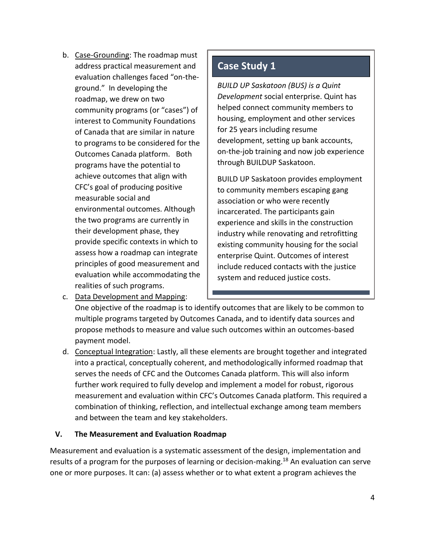b. Case-Grounding: The roadmap must address practical measurement and evaluation challenges faced "on-theground." In developing the roadmap, we drew on two community programs (or "cases") of interest to Community Foundations of Canada that are similar in nature to programs to be considered for the Outcomes Canada platform. Both programs have the potential to achieve outcomes that align with CFC's goal of producing positive measurable social and environmental outcomes. Although the two programs are currently in their development phase, they provide specific contexts in which to assess how a roadmap can integrate principles of good measurement and evaluation while accommodating the realities of such programs.

# **Case Study 1**

*BUILD UP Saskatoon (BUS) is a Quint Development* social enterprise. Quint has helped connect community members to housing, employment and other services for 25 years including resume development, setting up bank accounts, on-the-job training and now job experience through BUILDUP Saskatoon.

BUILD UP Saskatoon provides employment to community members escaping gang association or who were recently incarcerated. The participants gain experience and skills in the construction industry while renovating and retrofitting existing community housing for the social enterprise Quint. Outcomes of interest include reduced contacts with the justice system and reduced justice costs.

c. Data Development and Mapping:

One objective of the roadmap is to identify outcomes that are likely to be common to multiple programs targeted by Outcomes Canada, and to identify data sources and propose methods to measure and value such outcomes within an outcomes-based payment model.

d. Conceptual Integration: Lastly, all these elements are brought together and integrated into a practical, conceptually coherent, and methodologically informed roadmap that serves the needs of CFC and the Outcomes Canada platform. This will also inform further work required to fully develop and implement a model for robust, rigorous measurement and evaluation within CFC's Outcomes Canada platform. This required a combination of thinking, reflection, and intellectual exchange among team members and between the team and key stakeholders.

## <span id="page-13-0"></span>**V. The Measurement and Evaluation Roadmap**

Measurement and evaluation is a systematic assessment of the design, implementation and results of a program for the purposes of learning or decision-making.<sup>18</sup> An evaluation can serve one or more purposes. It can: (a) assess whether or to what extent a program achieves the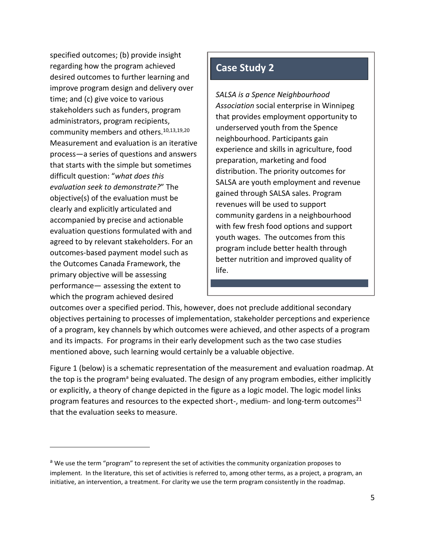specified outcomes; (b) provide insight regarding how the program achieved desired outcomes to further learning and improve program design and delivery over time; and (c) give voice to various stakeholders such as funders, program administrators, program recipients, community members and others.10,13,19,20 Measurement and evaluation is an iterative process—a series of questions and answers that starts with the simple but sometimes difficult question: "*what does this evaluation seek to demonstrate?*" The objective(s) of the evaluation must be clearly and explicitly articulated and accompanied by precise and actionable evaluation questions formulated with and agreed to by relevant stakeholders. For an outcomes-based payment model such as the Outcomes Canada Framework, the primary objective will be assessing performance— assessing the extent to which the program achieved desired

# **Case Study 2**

*SALSA is a Spence Neighbourhood Association* social enterprise in Winnipeg that provides employment opportunity to underserved youth from the Spence neighbourhood. Participants gain experience and skills in agriculture, food preparation, marketing and food distribution. The priority outcomes for SALSA are youth employment and revenue gained through SALSA sales. Program revenues will be used to support community gardens in a neighbourhood with few fresh food options and support youth wages. The outcomes from this program include better health through better nutrition and improved quality of life.

outcomes over a specified period. This, however, does not preclude additional secondary objectives pertaining to processes of implementation, stakeholder perceptions and experience of a program, key channels by which outcomes were achieved, and other aspects of a program and its impacts. For programs in their early development such as the two case studies mentioned above, such learning would certainly be a valuable objective.

Figure 1 (below) is a schematic representation of the measurement and evaluation roadmap. At the top is the program<sup>a</sup> being evaluated. The design of any program embodies, either implicitly or explicitly, a theory of change depicted in the figure as a logic model. The logic model links program features and resources to the expected short-, medium- and long-term outcomes<sup>21</sup> that the evaluation seeks to measure.

<sup>&</sup>lt;sup>a</sup> We use the term "program" to represent the set of activities the community organization proposes to implement. In the literature, this set of activities is referred to, among other terms, as a project, a program, an initiative, an intervention, a treatment. For clarity we use the term program consistently in the roadmap.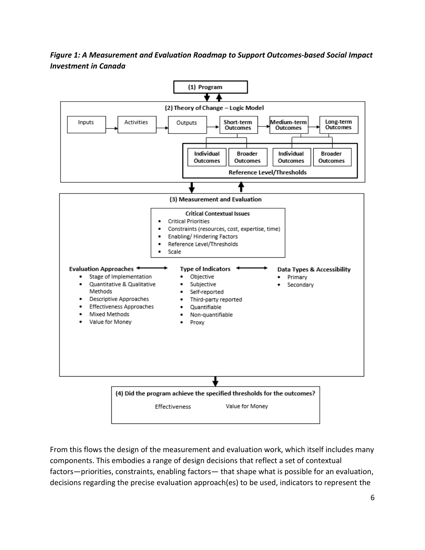## *Figure 1: A Measurement and Evaluation Roadmap to Support Outcomes-based Social Impact Investment in Canada*



From this flows the design of the measurement and evaluation work, which itself includes many components. This embodies a range of design decisions that reflect a set of contextual factors—priorities, constraints, enabling factors— that shape what is possible for an evaluation, decisions regarding the precise evaluation approach(es) to be used, indicators to represent the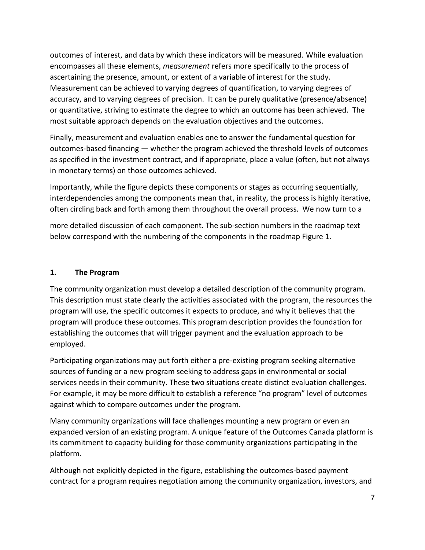outcomes of interest, and data by which these indicators will be measured. While evaluation encompasses all these elements, *measurement* refers more specifically to the process of ascertaining the presence, amount, or extent of a variable of interest for the study. Measurement can be achieved to varying degrees of quantification, to varying degrees of accuracy, and to varying degrees of precision. It can be purely qualitative (presence/absence) or quantitative, striving to estimate the degree to which an outcome has been achieved. The most suitable approach depends on the evaluation objectives and the outcomes.

Finally, measurement and evaluation enables one to answer the fundamental question for outcomes-based financing — whether the program achieved the threshold levels of outcomes as specified in the investment contract, and if appropriate, place a value (often, but not always in monetary terms) on those outcomes achieved.

Importantly, while the figure depicts these components or stages as occurring sequentially, interdependencies among the components mean that, in reality, the process is highly iterative, often circling back and forth among them throughout the overall process. We now turn to a

more detailed discussion of each component. The sub-section numbers in the roadmap text below correspond with the numbering of the components in the roadmap Figure 1.

#### <span id="page-16-0"></span>**1. The Program**

The community organization must develop a detailed description of the community program. This description must state clearly the activities associated with the program, the resources the program will use, the specific outcomes it expects to produce, and why it believes that the program will produce these outcomes. This program description provides the foundation for establishing the outcomes that will trigger payment and the evaluation approach to be employed.

Participating organizations may put forth either a pre-existing program seeking alternative sources of funding or a new program seeking to address gaps in environmental or social services needs in their community. These two situations create distinct evaluation challenges. For example, it may be more difficult to establish a reference "no program" level of outcomes against which to compare outcomes under the program.

Many community organizations will face challenges mounting a new program or even an expanded version of an existing program. A unique feature of the Outcomes Canada platform is its commitment to capacity building for those community organizations participating in the platform.

Although not explicitly depicted in the figure, establishing the outcomes-based payment contract for a program requires negotiation among the community organization, investors, and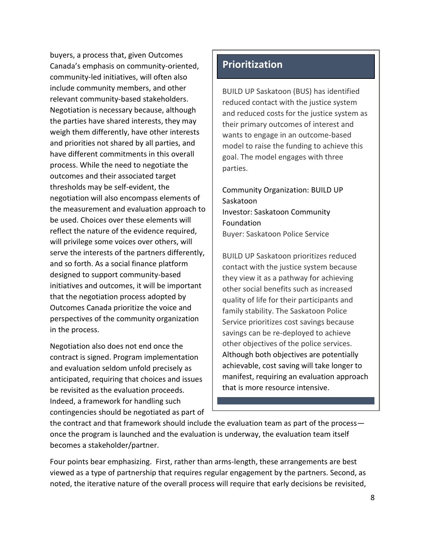buyers, a process that, given Outcomes Canada's emphasis on community-oriented, community-led initiatives, will often also include community members, and other relevant community-based stakeholders. Negotiation is necessary because, although the parties have shared interests, they may weigh them differently, have other interests and priorities not shared by all parties, and have different commitments in this overall process. While the need to negotiate the outcomes and their associated target thresholds may be self-evident, the negotiation will also encompass elements of the measurement and evaluation approach to be used. Choices over these elements will reflect the nature of the evidence required, will privilege some voices over others, will serve the interests of the partners differently, and so forth. As a social finance platform designed to support community-based initiatives and outcomes, it will be important that the negotiation process adopted by Outcomes Canada prioritize the voice and perspectives of the community organization in the process.

Negotiation also does not end once the contract is signed. Program implementation and evaluation seldom unfold precisely as anticipated, requiring that choices and issues be revisited as the evaluation proceeds. Indeed, a framework for handling such contingencies should be negotiated as part of

## **Prioritization**

BUILD UP Saskatoon (BUS) has identified reduced contact with the justice system and reduced costs for the justice system as their primary outcomes of interest and wants to engage in an outcome-based model to raise the funding to achieve this goal. The model engages with three parties.

Community Organization: BUILD UP Saskatoon Investor: Saskatoon Community Foundation Buyer: Saskatoon Police Service

BUILD UP Saskatoon prioritizes reduced contact with the justice system because they view it as a pathway for achieving other social benefits such as increased quality of life for their participants and family stability. The Saskatoon Police Service prioritizes cost savings because savings can be re-deployed to achieve other objectives of the police services. Although both objectives are potentially achievable, cost saving will take longer to manifest, requiring an evaluation approach that is more resource intensive.

the contract and that framework should include the evaluation team as part of the process once the program is launched and the evaluation is underway, the evaluation team itself becomes a stakeholder/partner.

Four points bear emphasizing. First, rather than arms-length, these arrangements are best viewed as a type of partnership that requires regular engagement by the partners. Second, as noted, the iterative nature of the overall process will require that early decisions be revisited,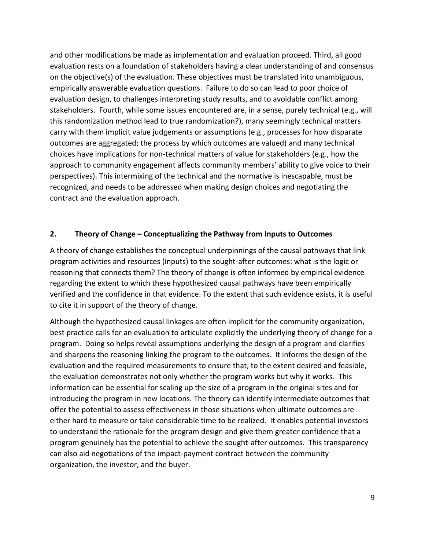and other modifications be made as implementation and evaluation proceed. Third, all good evaluation rests on a foundation of stakeholders having a clear understanding of and consensus on the objective(s) of the evaluation. These objectives must be translated into unambiguous, empirically answerable evaluation questions. Failure to do so can lead to poor choice of evaluation design, to challenges interpreting study results, and to avoidable conflict among stakeholders. Fourth, while some issues encountered are, in a sense, purely technical (e.g., will this randomization method lead to true randomization?), many seemingly technical matters carry with them implicit value judgements or assumptions (e.g., processes for how disparate outcomes are aggregated; the process by which outcomes are valued) and many technical choices have implications for non-technical matters of value for stakeholders (e.g., how the approach to community engagement affects community members' ability to give voice to their perspectives). This intermixing of the technical and the normative is inescapable, must be recognized, and needs to be addressed when making design choices and negotiating the contract and the evaluation approach.

### <span id="page-18-0"></span>**2. Theory of Change – Conceptualizing the Pathway from Inputs to Outcomes**

A theory of change establishes the conceptual underpinnings of the causal pathways that link program activities and resources (inputs) to the sought-after outcomes: what is the logic or reasoning that connects them? The theory of change is often informed by empirical evidence regarding the extent to which these hypothesized causal pathways have been empirically verified and the confidence in that evidence. To the extent that such evidence exists, it is useful to cite it in support of the theory of change.

Although the hypothesized causal linkages are often implicit for the community organization, best practice calls for an evaluation to articulate explicitly the underlying theory of change for a program. Doing so helps reveal assumptions underlying the design of a program and clarifies and sharpens the reasoning linking the program to the outcomes. It informs the design of the evaluation and the required measurements to ensure that, to the extent desired and feasible, the evaluation demonstrates not only whether the program works but why it works. This information can be essential for scaling up the size of a program in the original sites and for introducing the program in new locations. The theory can identify intermediate outcomes that offer the potential to assess effectiveness in those situations when ultimate outcomes are either hard to measure or take considerable time to be realized. It enables potential investors to understand the rationale for the program design and give them greater confidence that a program genuinely has the potential to achieve the sought-after outcomes. This transparency can also aid negotiations of the impact-payment contract between the community organization, the investor, and the buyer.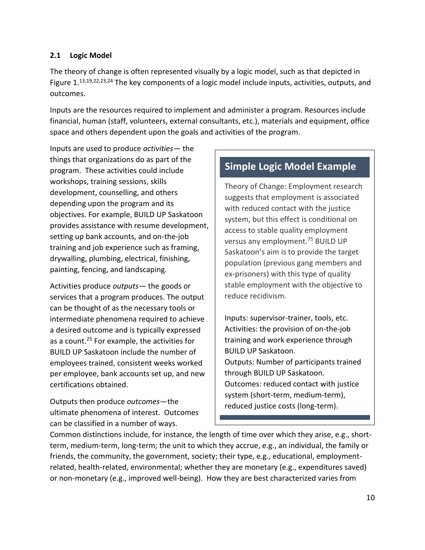#### <span id="page-19-0"></span>**2.1 Logic Model**

The theory of change is often represented visually by a logic model, such as that depicted in Figure 1.<sup>13,19,22,23,24</sup> The key components of a logic model include inputs, activities, outputs, and outcomes.

Inputs are the resources required to implement and administer a program. Resources include financial, human (staff, volunteers, external consultants, etc.), materials and equipment, office space and others dependent upon the goals and activities of the program.

Inputs are used to produce *activities—* the things that organizations do as part of the program. These activities could include workshops, training sessions, skills development, counselling, and others depending upon the program and its objectives. For example, BUILD UP Saskatoon provides assistance with resume development, setting up bank accounts, and on-the-job training and job experience such as framing, drywalling, plumbing, electrical, finishing, painting, fencing, and landscaping.

Activities produce *outputs*— the goods or services that a program produces. The output can be thought of as the necessary tools or intermediate phenomena required to achieve a desired outcome and is typically expressed as a count.<sup>25</sup> For example, the activities for BUILD UP Saskatoon include the number of employees trained, consistent weeks worked per employee, bank accounts set up, and new certifications obtained.

Outputs then produce *outcomes*—the ultimate phenomena of interest. Outcomes can be classified in a number of ways.

## **Simple Logic Model Example**

Theory of Change: Employment research suggests that employment is associated with reduced contact with the justice system, but this effect is conditional on access to stable quality employment versus any employment.<sup>75</sup> BUILD UP Saskatoon's aim is to provide the target population (previous gang members and ex-prisoners) with this type of quality stable employment with the objective to reduce recidivism.

Inputs: supervisor-trainer, tools, etc. Activities: the provision of on-the-job training and work experience through BUILD UP Saskatoon. Outputs: Number of participants trained through BUILD UP Saskatoon. Outcomes: reduced contact with justice system (short-term, medium-term), reduced justice costs (long-term).

Common distinctions include, for instance, the length of time over which they arise, e.g., shortterm, medium-term, long-term; the unit to which they accrue, e.g., an individual, the family or friends, the community, the government, society; their type, e.g., educational, employmentrelated, health-related, environmental; whether they are monetary (e.g., expenditures saved) or non-monetary (e.g., improved well-being). How they are best characterized varies from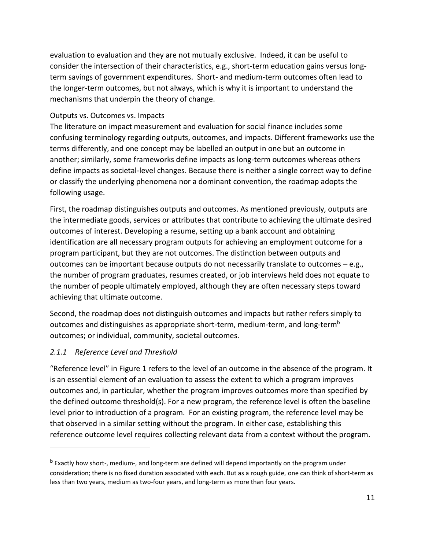evaluation to evaluation and they are not mutually exclusive. Indeed, it can be useful to consider the intersection of their characteristics, e.g., short-term education gains versus longterm savings of government expenditures. Short- and medium-term outcomes often lead to the longer-term outcomes, but not always, which is why it is important to understand the mechanisms that underpin the theory of change.

#### <span id="page-20-0"></span>Outputs vs. Outcomes vs. Impacts

The literature on impact measurement and evaluation for social finance includes some confusing terminology regarding outputs, outcomes, and impacts. Different frameworks use the terms differently, and one concept may be labelled an output in one but an outcome in another; similarly, some frameworks define impacts as long-term outcomes whereas others define impacts as societal-level changes. Because there is neither a single correct way to define or classify the underlying phenomena nor a dominant convention, the roadmap adopts the following usage.

First, the roadmap distinguishes outputs and outcomes. As mentioned previously, outputs are the intermediate goods, services or attributes that contribute to achieving the ultimate desired outcomes of interest. Developing a resume, setting up a bank account and obtaining identification are all necessary program outputs for achieving an employment outcome for a program participant, but they are not outcomes. The distinction between outputs and outcomes can be important because outputs do not necessarily translate to outcomes – e.g., the number of program graduates, resumes created, or job interviews held does not equate to the number of people ultimately employed, although they are often necessary steps toward achieving that ultimate outcome.

Second, the roadmap does not distinguish outcomes and impacts but rather refers simply to outcomes and distinguishes as appropriate short-term, medium-term, and long-term<sup>b</sup> outcomes; or individual, community, societal outcomes.

### <span id="page-20-1"></span>*2.1.1 Reference Level and Threshold*

"Reference level" in Figure 1 refers to the level of an outcome in the absence of the program. It is an essential element of an evaluation to assess the extent to which a program improves outcomes and, in particular, whether the program improves outcomes more than specified by the defined outcome threshold(s). For a new program, the reference level is often the baseline level prior to introduction of a program. For an existing program, the reference level may be that observed in a similar setting without the program. In either case, establishing this reference outcome level requires collecting relevant data from a context without the program.

<sup>&</sup>lt;sup>b</sup> Exactly how short-, medium-, and long-term are defined will depend importantly on the program under consideration; there is no fixed duration associated with each. But as a rough guide, one can think of short-term as less than two years, medium as two-four years, and long-term as more than four years.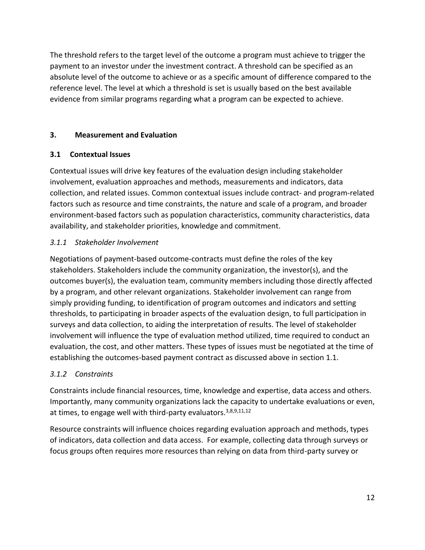The threshold refers to the target level of the outcome a program must achieve to trigger the payment to an investor under the investment contract. A threshold can be specified as an absolute level of the outcome to achieve or as a specific amount of difference compared to the reference level. The level at which a threshold is set is usually based on the best available evidence from similar programs regarding what a program can be expected to achieve.

## <span id="page-21-0"></span>**3. Measurement and Evaluation**

## <span id="page-21-1"></span>**3.1 Contextual Issues**

Contextual issues will drive key features of the evaluation design including stakeholder involvement, evaluation approaches and methods, measurements and indicators, data collection, and related issues. Common contextual issues include contract- and program-related factors such as resource and time constraints, the nature and scale of a program, and broader environment-based factors such as population characteristics, community characteristics, data availability, and stakeholder priorities, knowledge and commitment.

## <span id="page-21-2"></span>*3.1.1 Stakeholder Involvement*

Negotiations of payment-based outcome-contracts must define the roles of the key stakeholders. Stakeholders include the community organization, the investor(s), and the outcomes buyer(s), the evaluation team, community members including those directly affected by a program, and other relevant organizations. Stakeholder involvement can range from simply providing funding, to identification of program outcomes and indicators and setting thresholds, to participating in broader aspects of the evaluation design, to full participation in surveys and data collection, to aiding the interpretation of results. The level of stakeholder involvement will influence the type of evaluation method utilized, time required to conduct an evaluation, the cost, and other matters. These types of issues must be negotiated at the time of establishing the outcomes-based payment contract as discussed above in section 1.1.

## <span id="page-21-3"></span>*3.1.2 Constraints*

Constraints include financial resources, time, knowledge and expertise, data access and others. Importantly, many community organizations lack the capacity to undertake evaluations or even, at times, to engage well with third-party evaluators.<sup>3,8,9,11,12</sup>

Resource constraints will influence choices regarding evaluation approach and methods, types of indicators, data collection and data access. For example, collecting data through surveys or focus groups often requires more resources than relying on data from third-party survey or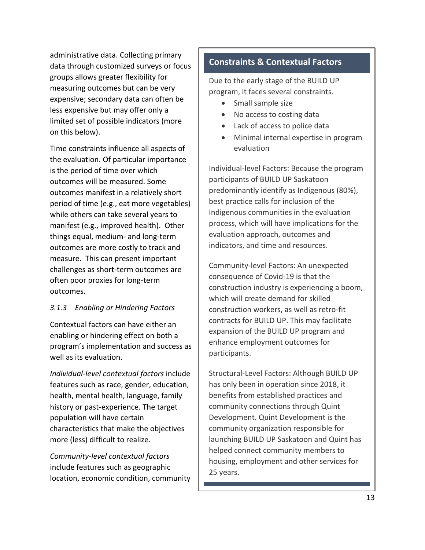administrative data. Collecting primary data through customized surveys or focus groups allows greater flexibility for measuring outcomes but can be very expensive; secondary data can often be less expensive but may offer only a limited set of possible indicators (more on this below).

Time constraints influence all aspects of the evaluation. Of particular importance is the period of time over which outcomes will be measured. Some outcomes manifest in a relatively short period of time (e.g., eat more vegetables) while others can take several years to manifest (e.g., improved health). Other things equal, medium- and long-term outcomes are more costly to track and measure. This can present important challenges as short-term outcomes are often poor proxies for long-term outcomes.

### <span id="page-22-0"></span>*3.1.3 Enabling or Hindering Factors*

Contextual factors can have either an enabling or hindering effect on both a program's implementation and success as well as its evaluation.

<span id="page-22-1"></span>*Individual-level contextual factors* include features such as race, gender, education, health, mental health, language, family history or past-experience. The target population will have certain characteristics that make the objectives more (less) difficult to realize.

<span id="page-22-2"></span>*Community-level contextual factors* include features such as geographic location, economic condition, community

## **Constraints & Contextual Factors**

Due to the early stage of the BUILD UP program, it faces several constraints.

- Small sample size
- No access to costing data
- Lack of access to police data
- Minimal internal expertise in program evaluation

Individual-level Factors: Because the program participants of BUILD UP Saskatoon predominantly identify as Indigenous (80%), best practice calls for inclusion of the Indigenous communities in the evaluation process, which will have implications for the evaluation approach, outcomes and indicators, and time and resources.

Community-level Factors: An unexpected consequence of Covid-19 is that the construction industry is experiencing a boom, which will create demand for skilled construction workers, as well as retro-fit contracts for BUILD UP. This may facilitate expansion of the BUILD UP program and enhance employment outcomes for participants.

Structural-Level Factors: Although BUILD UP has only been in operation since 2018, it benefits from established practices and community connections through Quint Development. Quint Development is the community organization responsible for launching BUILD UP Saskatoon and Quint has helped connect community members to housing, employment and other services for 25 years.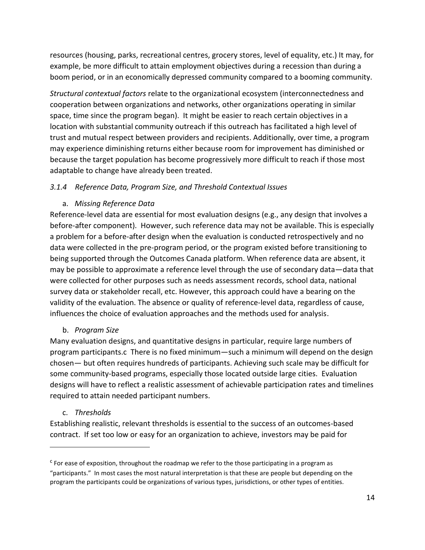resources (housing, parks, recreational centres, grocery stores, level of equality, etc.) It may, for example, be more difficult to attain employment objectives during a recession than during a boom period, or in an economically depressed community compared to a booming community.

<span id="page-23-0"></span>*Structural contextual factors* relate to the organizational ecosystem (interconnectedness and cooperation between organizations and networks, other organizations operating in similar space, time since the program began). It might be easier to reach certain objectives in a location with substantial community outreach if this outreach has facilitated a high level of trust and mutual respect between providers and recipients. Additionally, over time, a program may experience diminishing returns either because room for improvement has diminished or because the target population has become progressively more difficult to reach if those most adaptable to change have already been treated.

## <span id="page-23-1"></span>*3.1.4 Reference Data, Program Size, and Threshold Contextual Issues*

## a. *Missing Reference Data*

<span id="page-23-2"></span>Reference-level data are essential for most evaluation designs (e.g., any design that involves a before-after component). However, such reference data may not be available. This is especially a problem for a before-after design when the evaluation is conducted retrospectively and no data were collected in the pre-program period, or the program existed before transitioning to being supported through the Outcomes Canada platform. When reference data are absent, it may be possible to approximate a reference level through the use of secondary data—data that were collected for other purposes such as needs assessment records, school data, national survey data or stakeholder recall, etc. However, this approach could have a bearing on the validity of the evaluation. The absence or quality of reference-level data, regardless of cause, influences the choice of evaluation approaches and the methods used for analysis.

### b. *Program Size*

<span id="page-23-3"></span>Many evaluation designs, and quantitative designs in particular, require large numbers of program participants.c There is no fixed minimum—such a minimum will depend on the design chosen— but often requires hundreds of participants. Achieving such scale may be difficult for some community-based programs, especially those located outside large cities. Evaluation designs will have to reflect a realistic assessment of achievable participation rates and timelines required to attain needed participant numbers.

### c. *Thresholds*

<span id="page-23-4"></span>Establishing realistic, relevant thresholds is essential to the success of an outcomes-based contract. If set too low or easy for an organization to achieve, investors may be paid for

<sup>&</sup>lt;sup>c</sup> For ease of exposition, throughout the roadmap we refer to the those participating in a program as "participants." In most cases the most natural interpretation is that these are people but depending on the program the participants could be organizations of various types, jurisdictions, or other types of entities.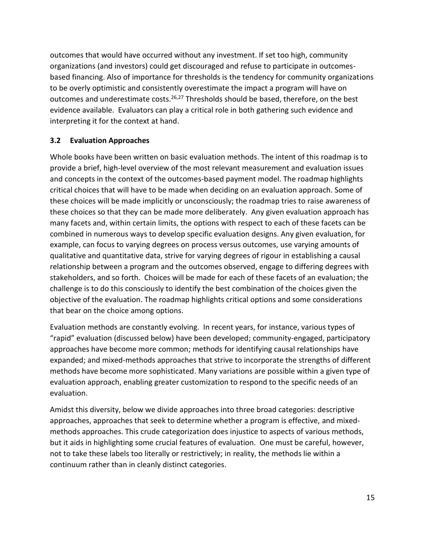outcomes that would have occurred without any investment. If set too high, community organizations (and investors) could get discouraged and refuse to participate in outcomesbased financing. Also of importance for thresholds is the tendency for community organizations to be overly optimistic and consistently overestimate the impact a program will have on outcomes and underestimate costs.<sup>26,27</sup> Thresholds should be based, therefore, on the best evidence available. Evaluators can play a critical role in both gathering such evidence and interpreting it for the context at hand.

### <span id="page-24-0"></span>**3.2 Evaluation Approaches**

Whole books have been written on basic evaluation methods. The intent of this roadmap is to provide a brief, high-level overview of the most relevant measurement and evaluation issues and concepts in the context of the outcomes-based payment model. The roadmap highlights critical choices that will have to be made when deciding on an evaluation approach. Some of these choices will be made implicitly or unconsciously; the roadmap tries to raise awareness of these choices so that they can be made more deliberately. Any given evaluation approach has many facets and, within certain limits, the options with respect to each of these facets can be combined in numerous ways to develop specific evaluation designs. Any given evaluation, for example, can focus to varying degrees on process versus outcomes, use varying amounts of qualitative and quantitative data, strive for varying degrees of rigour in establishing a causal relationship between a program and the outcomes observed, engage to differing degrees with stakeholders, and so forth. Choices will be made for each of these facets of an evaluation; the challenge is to do this consciously to identify the best combination of the choices given the objective of the evaluation. The roadmap highlights critical options and some considerations that bear on the choice among options.

Evaluation methods are constantly evolving. In recent years, for instance, various types of "rapid" evaluation (discussed below) have been developed; community-engaged, participatory approaches have become more common; methods for identifying causal relationships have expanded; and mixed-methods approaches that strive to incorporate the strengths of different methods have become more sophisticated. Many variations are possible within a given type of evaluation approach, enabling greater customization to respond to the specific needs of an evaluation.

Amidst this diversity, below we divide approaches into three broad categories: descriptive approaches, approaches that seek to determine whether a program is effective, and mixedmethods approaches. This crude categorization does injustice to aspects of various methods, but it aids in highlighting some crucial features of evaluation. One must be careful, however, not to take these labels too literally or restrictively; in reality, the methods lie within a continuum rather than in cleanly distinct categories.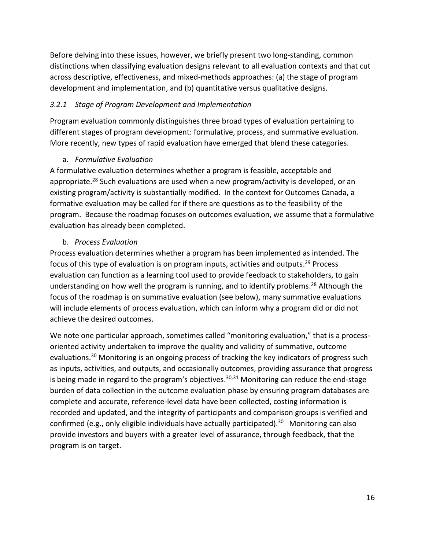Before delving into these issues, however, we briefly present two long-standing, common distinctions when classifying evaluation designs relevant to all evaluation contexts and that cut across descriptive, effectiveness, and mixed-methods approaches: (a) the stage of program development and implementation, and (b) quantitative versus qualitative designs.

## <span id="page-25-0"></span>*3.2.1 Stage of Program Development and Implementation*

Program evaluation commonly distinguishes three broad types of evaluation pertaining to different stages of program development: formulative, process, and summative evaluation. More recently, new types of rapid evaluation have emerged that blend these categories.

### a. *Formulative Evaluation*

<span id="page-25-1"></span>A formulative evaluation determines whether a program is feasible, acceptable and appropriate.<sup>28</sup> Such evaluations are used when a new program/activity is developed, or an existing program/activity is substantially modified. In the context for Outcomes Canada, a formative evaluation may be called for if there are questions as to the feasibility of the program. Because the roadmap focuses on outcomes evaluation, we assume that a formulative evaluation has already been completed.

### b. *Process Evaluation*

<span id="page-25-2"></span>Process evaluation determines whether a program has been implemented as intended. The focus of this type of evaluation is on program inputs, activities and outputs.<sup>29</sup> Process evaluation can function as a learning tool used to provide feedback to stakeholders, to gain understanding on how well the program is running, and to identify problems. <sup>28</sup> Although the focus of the roadmap is on summative evaluation (see below), many summative evaluations will include elements of process evaluation, which can inform why a program did or did not achieve the desired outcomes.

We note one particular approach, sometimes called "monitoring evaluation," that is a processoriented activity undertaken to improve the quality and validity of summative, outcome evaluations.<sup>30</sup> Monitoring is an ongoing process of tracking the key indicators of progress such as inputs, activities, and outputs, and occasionally outcomes, providing assurance that progress is being made in regard to the program's objectives.<sup>30,31</sup> Monitoring can reduce the end-stage burden of data collection in the outcome evaluation phase by ensuring program databases are complete and accurate, reference-level data have been collected, costing information is recorded and updated, and the integrity of participants and comparison groups is verified and confirmed (e.g., only eligible individuals have actually participated).<sup>30</sup> Monitoring can also provide investors and buyers with a greater level of assurance, through feedback, that the program is on target.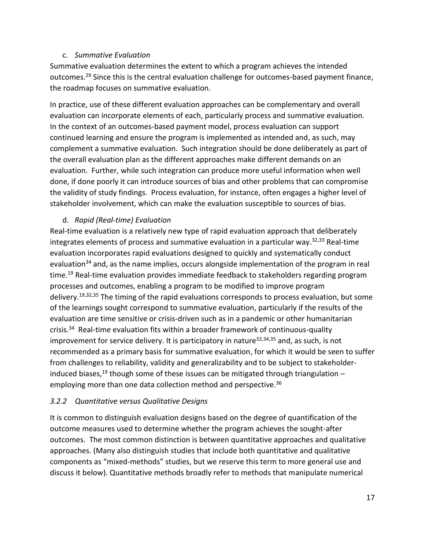#### c. *Summative Evaluation*

<span id="page-26-0"></span>Summative evaluation determines the extent to which a program achieves the intended outcomes.<sup>29</sup> Since this is the central evaluation challenge for outcomes-based payment finance, the roadmap focuses on summative evaluation.

In practice, use of these different evaluation approaches can be complementary and overall evaluation can incorporate elements of each, particularly process and summative evaluation. In the context of an outcomes-based payment model, process evaluation can support continued learning and ensure the program is implemented as intended and, as such, may complement a summative evaluation. Such integration should be done deliberately as part of the overall evaluation plan as the different approaches make different demands on an evaluation. Further, while such integration can produce more useful information when well done, if done poorly it can introduce sources of bias and other problems that can compromise the validity of study findings. Process evaluation, for instance, often engages a higher level of stakeholder involvement, which can make the evaluation susceptible to sources of bias.

### d. *Rapid (Real-time) Evaluation*

<span id="page-26-1"></span>Real-time evaluation is a relatively new type of rapid evaluation approach that deliberately integrates elements of process and summative evaluation in a particular way.<sup>32,33</sup> Real-time evaluation incorporates rapid evaluations designed to quickly and systematically conduct evaluation<sup>34</sup> and, as the name implies, occurs alongside implementation of the program in real time. <sup>19</sup> Real-time evaluation provides immediate feedback to stakeholders regarding program processes and outcomes, enabling a program to be modified to improve program delivery.<sup>19,32,35</sup> The timing of the rapid evaluations corresponds to process evaluation, but some of the learnings sought correspond to summative evaluation, particularly if the results of the evaluation are time sensitive or crisis-driven such as in a pandemic or other humanitarian crisis.<sup>34</sup> Real-time evaluation fits within a broader framework of continuous-quality improvement for service delivery. It is participatory in nature<sup>32,34,35</sup> and, as such, is not recommended as a primary basis for summative evaluation, for which it would be seen to suffer from challenges to reliability, validity and generalizability and to be subject to stakeholderinduced biases,<sup>19</sup> though some of these issues can be mitigated through triangulation – employing more than one data collection method and perspective.<sup>36</sup>

### <span id="page-26-2"></span>*3.2.2 Quantitative versus Qualitative Designs*

It is common to distinguish evaluation designs based on the degree of quantification of the outcome measures used to determine whether the program achieves the sought-after outcomes. The most common distinction is between quantitative approaches and qualitative approaches. (Many also distinguish studies that include both quantitative and qualitative components as "mixed-methods" studies, but we reserve this term to more general use and discuss it below). Quantitative methods broadly refer to methods that manipulate numerical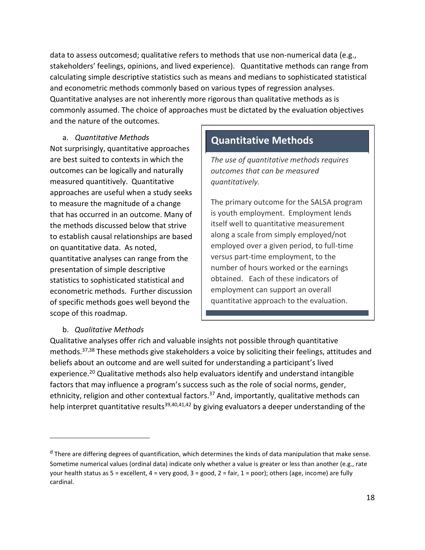data to assess outcomesd; qualitative refers to methods that use non-numerical data (e.g., stakeholders' feelings, opinions, and lived experience). Quantitative methods can range from calculating simple descriptive statistics such as means and medians to sophisticated statistical and econometric methods commonly based on various types of regression analyses. Quantitative analyses are not inherently more rigorous than qualitative methods as is commonly assumed. The choice of approaches must be dictated by the evaluation objectives and the nature of the outcomes.

a. *Quantitative Methods*

<span id="page-27-0"></span>Not surprisingly, quantitative approaches are best suited to contexts in which the outcomes can be logically and naturally measured quantitively. Quantitative approaches are useful when a study seeks to measure the magnitude of a change that has occurred in an outcome. Many of the methods discussed below that strive to establish causal relationships are based on quantitative data. As noted, quantitative analyses can range from the presentation of simple descriptive statistics to sophisticated statistical and econometric methods. Further discussion of specific methods goes well beyond the scope of this roadmap.

# **Quantitative Methods**

*The use of quantitative methods requires outcomes that can be measured quantitatively.* 

The primary outcome for the SALSA program is youth employment. Employment lends itself well to quantitative measurement along a scale from simply employed/not employed over a given period, to full-time versus part-time employment, to the number of hours worked or the earnings obtained. Each of these indicators of employment can support an overall quantitative approach to the evaluation.

### b. *Qualitative Methods*

<span id="page-27-1"></span>Qualitative analyses offer rich and valuable insights not possible through quantitative methods.37,38 These methods give stakeholders a voice by soliciting their feelings, attitudes and beliefs about an outcome and are well suited for understanding a participant's lived experience.<sup>20</sup> Qualitative methods also help evaluators identify and understand intangible factors that may influence a program's success such as the role of social norms, gender, ethnicity, religion and other contextual factors.<sup>37</sup> And, importantly, qualitative methods can help interpret quantitative results<sup>39,40,41,42</sup> by giving evaluators a deeper understanding of the

<sup>&</sup>lt;sup>d</sup> There are differing degrees of quantification, which determines the kinds of data manipulation that make sense. Sometime numerical values (ordinal data) indicate only whether a value is greater or less than another (e.g., rate your health status as  $5 =$  excellent,  $4 =$  very good,  $3 =$  good,  $2 =$  fair,  $1 =$  poor); others (age, income) are fully cardinal.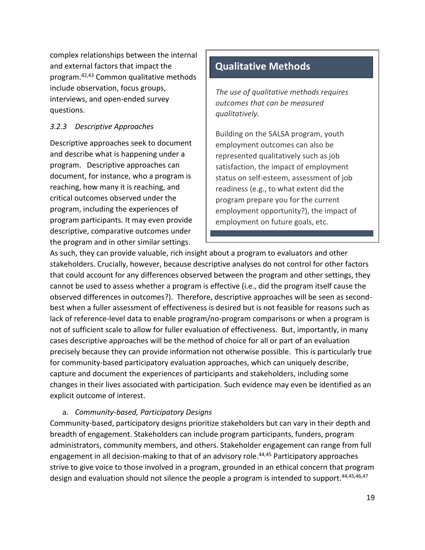complex relationships between the internal and external factors that impact the program.42,43 Common qualitative methods include observation, focus groups, interviews, and open-ended survey questions.

## <span id="page-28-0"></span>*3.2.3 Descriptive Approaches*

Descriptive approaches seek to document and describe what is happening under a program. Descriptive approaches can document, for instance, who a program is reaching, how many it is reaching, and critical outcomes observed under the program, including the experiences of program participants. It may even provide descriptive, comparative outcomes under the program and in other similar settings.

# **Qualitative Methods**

*The use of qualitative methods requires outcomes that can be measured qualitatively.* 

Building on the SALSA program, youth employment outcomes can also be represented qualitatively such as job satisfaction, the impact of employment status on self-esteem, assessment of job readiness (e.g., to what extent did the program prepare you for the current employment opportunity?), the impact of employment on future goals, etc.

As such, they can provide valuable, rich insight about a program to evaluators and other stakeholders. Crucially, however, because descriptive analyses do not control for other factors that could account for any differences observed between the program and other settings, they cannot be used to assess whether a program is effective (i.e., did the program itself cause the observed differences in outcomes?). Therefore, descriptive approaches will be seen as secondbest when a fuller assessment of effectiveness is desired but is not feasible for reasons such as lack of reference-level data to enable program/no-program comparisons or when a program is not of sufficient scale to allow for fuller evaluation of effectiveness. But, importantly, in many cases descriptive approaches will be the method of choice for all or part of an evaluation precisely because they can provide information not otherwise possible. This is particularly true for community-based participatory evaluation approaches, which can uniquely describe, capture and document the experiences of participants and stakeholders, including some changes in their lives associated with participation. Such evidence may even be identified as an explicit outcome of interest.

### a. *Community-based, Participatory Designs*

<span id="page-28-1"></span>Community-based, participatory designs prioritize stakeholders but can vary in their depth and breadth of engagement. Stakeholders can include program participants, funders, program administrators, community members, and others. Stakeholder engagement can range from full engagement in all decision-making to that of an advisory role.<sup>44,45</sup> Participatory approaches strive to give voice to those involved in a program, grounded in an ethical concern that program design and evaluation should not silence the people a program is intended to support.<sup>44,45,46,47</sup>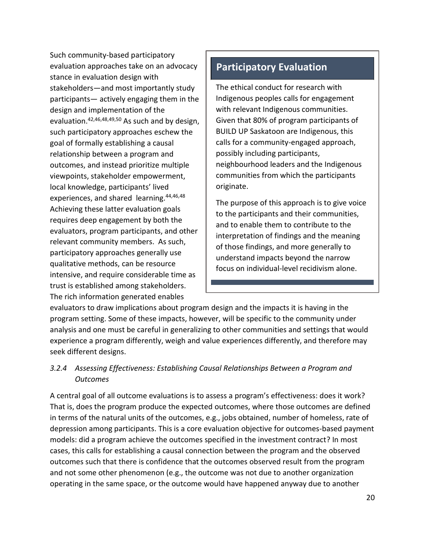Such community-based participatory evaluation approaches take on an advocacy stance in evaluation design with stakeholders—and most importantly study participants— actively engaging them in the design and implementation of the evaluation.42,46,48,49,50 As such and by design, such participatory approaches eschew the goal of formally establishing a causal relationship between a program and outcomes, and instead prioritize multiple viewpoints, stakeholder empowerment, local knowledge, participants' lived experiences, and shared learning.<sup>44,46,48</sup> Achieving these latter evaluation goals requires deep engagement by both the evaluators, program participants, and other relevant community members. As such, participatory approaches generally use qualitative methods, can be resource intensive, and require considerable time as trust is established among stakeholders. The rich information generated enables

# **Participatory Evaluation**

The ethical conduct for research with Indigenous peoples calls for engagement with relevant Indigenous communities. Given that 80% of program participants of BUILD UP Saskatoon are Indigenous, this calls for a community-engaged approach, possibly including participants, neighbourhood leaders and the Indigenous communities from which the participants originate.

The purpose of this approach is to give voice to the participants and their communities, and to enable them to contribute to the interpretation of findings and the meaning of those findings, and more generally to understand impacts beyond the narrow focus on individual-level recidivism alone.

evaluators to draw implications about program design and the impacts it is having in the program setting. Some of these impacts, however, will be specific to the community under analysis and one must be careful in generalizing to other communities and settings that would experience a program differently, weigh and value experiences differently, and therefore may seek different designs.

## <span id="page-29-0"></span>*3.2.4 Assessing Effectiveness: Establishing Causal Relationships Between a Program and Outcomes*

A central goal of all outcome evaluations is to assess a program's effectiveness: does it work? That is, does the program produce the expected outcomes, where those outcomes are defined in terms of the natural units of the outcomes, e.g., jobs obtained, number of homeless, rate of depression among participants. This is a core evaluation objective for outcomes-based payment models: did a program achieve the outcomes specified in the investment contract? In most cases, this calls for establishing a causal connection between the program and the observed outcomes such that there is confidence that the outcomes observed result from the program and not some other phenomenon (e.g., the outcome was not due to another organization operating in the same space, or the outcome would have happened anyway due to another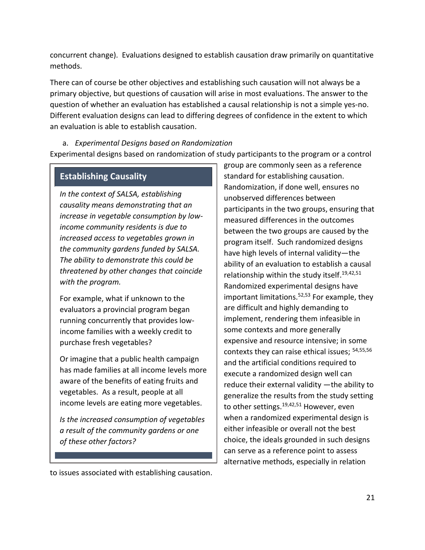concurrent change). Evaluations designed to establish causation draw primarily on quantitative methods.

There can of course be other objectives and establishing such causation will not always be a primary objective, but questions of causation will arise in most evaluations. The answer to the question of whether an evaluation has established a causal relationship is not a simple yes-no. Different evaluation designs can lead to differing degrees of confidence in the extent to which an evaluation is able to establish causation.

<span id="page-30-0"></span>a. *Experimental Designs based on Randomization* Experimental designs based on randomization of study participants to the program or a control

## **Establishing Causality**

*In the context of SALSA, establishing causality means demonstrating that an increase in vegetable consumption by lowincome community residents is due to increased access to vegetables grown in the community gardens funded by SALSA. The ability to demonstrate this could be threatened by other changes that coincide with the program.* 

For example, what if unknown to the evaluators a provincial program began running concurrently that provides lowincome families with a weekly credit to purchase fresh vegetables?

Or imagine that a public health campaign has made families at all income levels more aware of the benefits of eating fruits and vegetables. As a result, people at all income levels are eating more vegetables.

*Is the increased consumption of vegetables a result of the community gardens or one of these other factors?* 

group are commonly seen as a reference standard for establishing causation. Randomization, if done well, ensures no unobserved differences between participants in the two groups, ensuring that measured differences in the outcomes between the two groups are caused by the program itself. Such randomized designs have high levels of internal validity—the ability of an evaluation to establish a causal relationship within the study itself.<sup>19,42,51</sup> Randomized experimental designs have important limitations.<sup>52,53</sup> For example, they are difficult and highly demanding to implement, rendering them infeasible in some contexts and more generally expensive and resource intensive; in some contexts they can raise ethical issues; 54,55,56 and the artificial conditions required to execute a randomized design well can reduce their external validity —the ability to generalize the results from the study setting to other settings.<sup>19,42,51</sup> However, even when a randomized experimental design is either infeasible or overall not the best choice, the ideals grounded in such designs can serve as a reference point to assess alternative methods, especially in relation

to issues associated with establishing causation.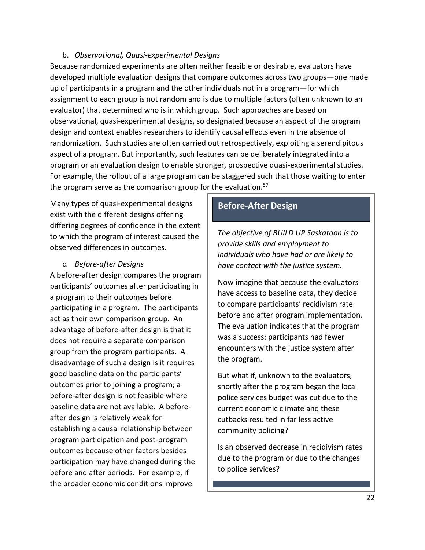#### b. *Observational, Quasi-experimental Designs*

<span id="page-31-0"></span>Because randomized experiments are often neither feasible or desirable, evaluators have developed multiple evaluation designs that compare outcomes across two groups—one made up of participants in a program and the other individuals not in a program—for which assignment to each group is not random and is due to multiple factors (often unknown to an evaluator) that determined who is in which group. Such approaches are based on observational, quasi-experimental designs, so designated because an aspect of the program design and context enables researchers to identify causal effects even in the absence of randomization. Such studies are often carried out retrospectively, exploiting a serendipitous aspect of a program. But importantly, such features can be deliberately integrated into a program or an evaluation design to enable stronger, prospective quasi-experimental studies. For example, the rollout of a large program can be staggered such that those waiting to enter the program serve as the comparison group for the evaluation.<sup>57</sup>

Many types of quasi-experimental designs exist with the different designs offering differing degrees of confidence in the extent to which the program of interest caused the observed differences in outcomes.

c. *Before-after Designs*

<span id="page-31-1"></span>A before-after design compares the program participants' outcomes after participating in a program to their outcomes before participating in a program. The participants act as their own comparison group. An advantage of before-after design is that it does not require a separate comparison group from the program participants. A disadvantage of such a design is it requires good baseline data on the participants' outcomes prior to joining a program; a before-after design is not feasible where baseline data are not available. A beforeafter design is relatively weak for establishing a causal relationship between program participation and post-program outcomes because other factors besides participation may have changed during the before and after periods. For example, if the broader economic conditions improve

## **Before-After Design**

*The objective of BUILD UP Saskatoon is to provide skills and employment to individuals who have had or are likely to have contact with the justice system.*

Now imagine that because the evaluators have access to baseline data, they decide to compare participants' recidivism rate before and after program implementation. The evaluation indicates that the program was a success: participants had fewer encounters with the justice system after the program.

But what if, unknown to the evaluators, shortly after the program began the local police services budget was cut due to the current economic climate and these cutbacks resulted in far less active community policing?

Is an observed decrease in recidivism rates due to the program or due to the changes to police services?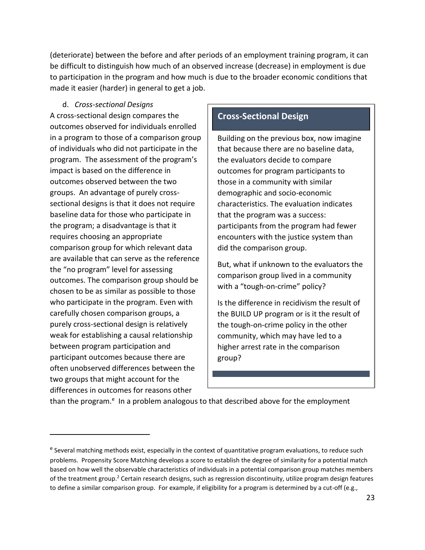(deteriorate) between the before and after periods of an employment training program, it can be difficult to distinguish how much of an observed increase (decrease) in employment is due to participation in the program and how much is due to the broader economic conditions that made it easier (harder) in general to get a job.

d. *Cross-sectional Designs*

<span id="page-32-0"></span>A cross-sectional design compares the outcomes observed for individuals enrolled in a program to those of a comparison group of individuals who did not participate in the program. The assessment of the program's impact is based on the difference in outcomes observed between the two groups. An advantage of purely crosssectional designs is that it does not require baseline data for those who participate in the program; a disadvantage is that it requires choosing an appropriate comparison group for which relevant data are available that can serve as the reference the "no program" level for assessing outcomes. The comparison group should be chosen to be as similar as possible to those who participate in the program. Even with carefully chosen comparison groups, a purely cross-sectional design is relatively weak for establishing a causal relationship between program participation and participant outcomes because there are often unobserved differences between the two groups that might account for the differences in outcomes for reasons other

## **Cross-Sectional Design**

Building on the previous box, now imagine that because there are no baseline data, the evaluators decide to compare outcomes for program participants to those in a community with similar demographic and socio-economic characteristics. The evaluation indicates that the program was a success: participants from the program had fewer encounters with the justice system than did the comparison group.

But, what if unknown to the evaluators the comparison group lived in a community with a "tough-on-crime" policy?

Is the difference in recidivism the result of the BUILD UP program or is it the result of the tough-on-crime policy in the other community, which may have led to a higher arrest rate in the comparison group?

than the program.<sup>e</sup> In a problem analogous to that described above for the employment

<sup>&</sup>lt;sup>e</sup> Several matching methods exist, especially in the context of quantitative program evaluations, to reduce such problems. Propensity Score Matching develops a score to establish the degree of similarity for a potential match based on how well the observable characteristics of individuals in a potential comparison group matches members of the treatment group.<sup>2</sup> Certain research designs, such as regression discontinuity, utilize program design features to define a similar comparison group. For example, if eligibility for a program is determined by a cut-off (e.g.,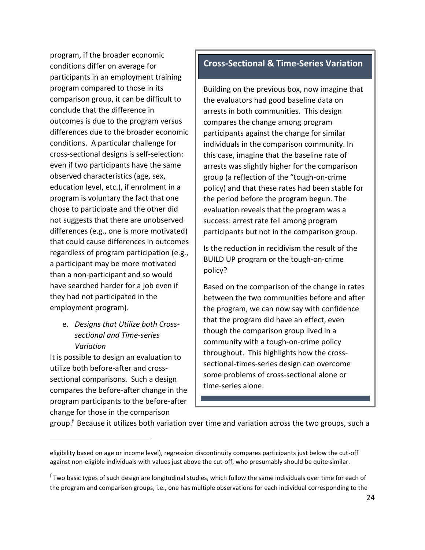program, if the broader economic conditions differ on average for participants in an employment training program compared to those in its comparison group, it can be difficult to conclude that the difference in outcomes is due to the program versus differences due to the broader economic conditions. A particular challenge for cross-sectional designs is self-selection: even if two participants have the same observed characteristics (age, sex, education level, etc.), if enrolment in a program is voluntary the fact that one chose to participate and the other did not suggests that there are unobserved differences (e.g., one is more motivated) that could cause differences in outcomes regardless of program participation (e.g., a participant may be more motivated than a non-participant and so would have searched harder for a job even if they had not participated in the employment program).

## <span id="page-33-0"></span>e. *Designs that Utilize both Crosssectional and Time-series Variation*

It is possible to design an evaluation to utilize both before-after and crosssectional comparisons. Such a design compares the before-after change in the program participants to the before-after change for those in the comparison

## **Cross-Sectional & Time-Series Variation**

Building on the previous box, now imagine that the evaluators had good baseline data on arrests in both communities. This design compares the change among program participants against the change for similar individuals in the comparison community. In this case, imagine that the baseline rate of arrests was slightly higher for the comparison group (a reflection of the "tough-on-crime policy) and that these rates had been stable for the period before the program begun. The evaluation reveals that the program was a success: arrest rate fell among program participants but not in the comparison group.

Is the reduction in recidivism the result of the BUILD UP program or the tough-on-crime policy?

Based on the comparison of the change in rates between the two communities before and after the program, we can now say with confidence that the program did have an effect, even though the comparison group lived in a community with a tough-on-crime policy throughout. This highlights how the crosssectional-times-series design can overcome some problems of cross-sectional alone or time-series alone.

group.<sup>f</sup> Because it utilizes both variation over time and variation across the two groups, such a

eligibility based on age or income level), regression discontinuity compares participants just below the cut-off against non-eligible individuals with values just above the cut-off, who presumably should be quite similar.

<sup>&</sup>lt;sup>f</sup> Two basic types of such design are longitudinal studies, which follow the same individuals over time for each of the program and comparison groups, i.e., one has multiple observations for each individual corresponding to the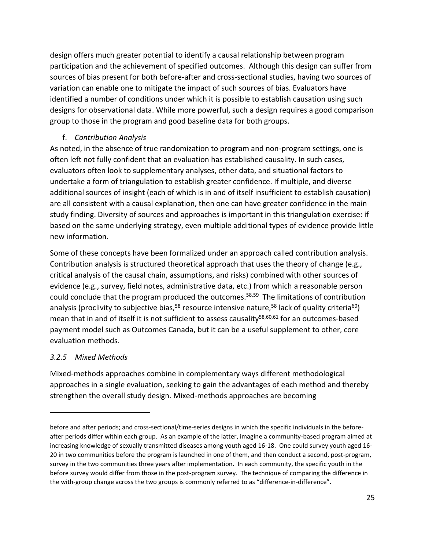design offers much greater potential to identify a causal relationship between program participation and the achievement of specified outcomes. Although this design can suffer from sources of bias present for both before-after and cross-sectional studies, having two sources of variation can enable one to mitigate the impact of such sources of bias. Evaluators have identified a number of conditions under which it is possible to establish causation using such designs for observational data. While more powerful, such a design requires a good comparison group to those in the program and good baseline data for both groups.

## f. *Contribution Analysis*

<span id="page-34-0"></span>As noted, in the absence of true randomization to program and non-program settings, one is often left not fully confident that an evaluation has established causality. In such cases, evaluators often look to supplementary analyses, other data, and situational factors to undertake a form of triangulation to establish greater confidence. If multiple, and diverse additional sources of insight (each of which is in and of itself insufficient to establish causation) are all consistent with a causal explanation, then one can have greater confidence in the main study finding. Diversity of sources and approaches is important in this triangulation exercise: if based on the same underlying strategy, even multiple additional types of evidence provide little new information.

Some of these concepts have been formalized under an approach called contribution analysis. Contribution analysis is structured theoretical approach that uses the theory of change (e.g., critical analysis of the causal chain, assumptions, and risks) combined with other sources of evidence (e.g., survey, field notes, administrative data, etc.) from which a reasonable person could conclude that the program produced the outcomes.<sup>58,59</sup> The limitations of contribution analysis (proclivity to subjective bias,<sup>58</sup> resource intensive nature,<sup>58</sup> lack of quality criteria<sup>60</sup>) mean that in and of itself it is not sufficient to assess causality<sup>58,60,61</sup> for an outcomes-based payment model such as Outcomes Canada, but it can be a useful supplement to other, core evaluation methods.

## <span id="page-34-1"></span>*3.2.5 Mixed Methods*

Mixed-methods approaches combine in complementary ways different methodological approaches in a single evaluation, seeking to gain the advantages of each method and thereby strengthen the overall study design. Mixed-methods approaches are becoming

before and after periods; and cross-sectional/time-series designs in which the specific individuals in the beforeafter periods differ within each group. As an example of the latter, imagine a community-based program aimed at increasing knowledge of sexually transmitted diseases among youth aged 16-18. One could survey youth aged 16- 20 in two communities before the program is launched in one of them, and then conduct a second, post-program, survey in the two communities three years after implementation. In each community, the specific youth in the before survey would differ from those in the post-program survey. The technique of comparing the difference in the with-group change across the two groups is commonly referred to as "difference-in-difference".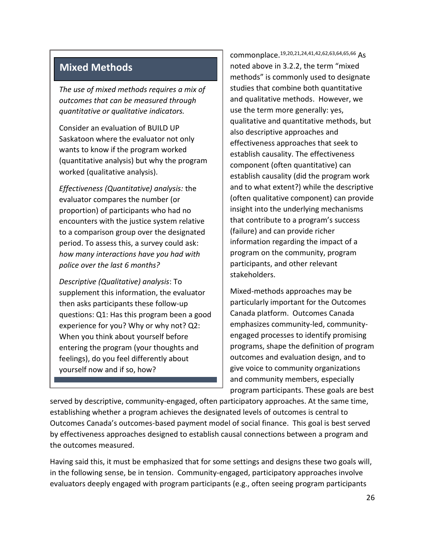# **Mixed Methods**

*The use of mixed methods requires a mix of outcomes that can be measured through quantitative or qualitative indicators.* 

Consider an evaluation of BUILD UP Saskatoon where the evaluator not only wants to know if the program worked (quantitative analysis) but why the program worked (qualitative analysis).

*Effectiveness (Quantitative) analysis:* the evaluator compares the number (or proportion) of participants who had no encounters with the justice system relative to a comparison group over the designated period. To assess this, a survey could ask: *how many interactions have you had with police over the last 6 months?*

*Descriptive (Qualitative) analysis*: To supplement this information, the evaluator then asks participants these follow-up questions: Q1: Has this program been a good experience for you? Why or why not? Q2: When you think about yourself before entering the program (your thoughts and feelings), do you feel differently about yourself now and if so, how?

commonplace.19,20,21,24,41,42,62,63,64,65,66 As noted above in 3.2.2, the term "mixed methods" is commonly used to designate studies that combine both quantitative and qualitative methods. However, we use the term more generally: yes, qualitative and quantitative methods, but also descriptive approaches and effectiveness approaches that seek to establish causality. The effectiveness component (often quantitative) can establish causality (did the program work and to what extent?) while the descriptive (often qualitative component) can provide insight into the underlying mechanisms that contribute to a program's success (failure) and can provide richer information regarding the impact of a program on the community, program participants, and other relevant stakeholders.

Mixed-methods approaches may be particularly important for the Outcomes Canada platform. Outcomes Canada emphasizes community-led, communityengaged processes to identify promising programs, shape the definition of program outcomes and evaluation design, and to give voice to community organizations and community members, especially program participants. These goals are best

served by descriptive, community-engaged, often participatory approaches. At the same time, establishing whether a program achieves the designated levels of outcomes is central to Outcomes Canada's outcomes-based payment model of social finance. This goal is best served by effectiveness approaches designed to establish causal connections between a program and the outcomes measured.

Having said this, it must be emphasized that for some settings and designs these two goals will, in the following sense, be in tension. Community-engaged, participatory approaches involve evaluators deeply engaged with program participants (e.g., often seeing program participants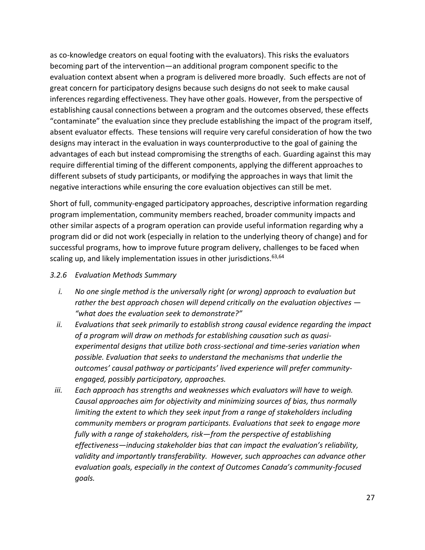as co-knowledge creators on equal footing with the evaluators). This risks the evaluators becoming part of the intervention—an additional program component specific to the evaluation context absent when a program is delivered more broadly. Such effects are not of great concern for participatory designs because such designs do not seek to make causal inferences regarding effectiveness. They have other goals. However, from the perspective of establishing causal connections between a program and the outcomes observed, these effects "contaminate" the evaluation since they preclude establishing the impact of the program itself, absent evaluator effects. These tensions will require very careful consideration of how the two designs may interact in the evaluation in ways counterproductive to the goal of gaining the advantages of each but instead compromising the strengths of each. Guarding against this may require differential timing of the different components, applying the different approaches to different subsets of study participants, or modifying the approaches in ways that limit the negative interactions while ensuring the core evaluation objectives can still be met.

Short of full, community-engaged participatory approaches, descriptive information regarding program implementation, community members reached, broader community impacts and other similar aspects of a program operation can provide useful information regarding why a program did or did not work (especially in relation to the underlying theory of change) and for successful programs, how to improve future program delivery, challenges to be faced when scaling up, and likely implementation issues in other jurisdictions.<sup>63,64</sup>

#### <span id="page-36-0"></span>*3.2.6 Evaluation Methods Summary*

- *i. No one single method is the universally right (or wrong) approach to evaluation but rather the best approach chosen will depend critically on the evaluation objectives — "what does the evaluation seek to demonstrate?"*
- *ii. Evaluations that seek primarily to establish strong causal evidence regarding the impact of a program will draw on methods for establishing causation such as quasiexperimental designs that utilize both cross-sectional and time-series variation when possible. Evaluation that seeks to understand the mechanisms that underlie the outcomes' causal pathway or participants' lived experience will prefer communityengaged, possibly participatory, approaches.*
- *iii. Each approach has strengths and weaknesses which evaluators will have to weigh. Causal approaches aim for objectivity and minimizing sources of bias, thus normally limiting the extent to which they seek input from a range of stakeholders including community members or program participants. Evaluations that seek to engage more fully with a range of stakeholders, risk—from the perspective of establishing effectiveness—inducing stakeholder bias that can impact the evaluation's reliability, validity and importantly transferability. However, such approaches can advance other evaluation goals, especially in the context of Outcomes Canada's community-focused goals.*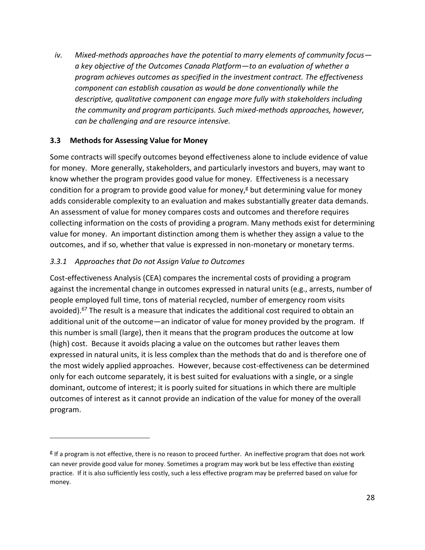*iv. Mixed-methods approaches have the potential to marry elements of community focus a key objective of the Outcomes Canada Platform—to an evaluation of whether a program achieves outcomes as specified in the investment contract. The effectiveness component can establish causation as would be done conventionally while the descriptive, qualitative component can engage more fully with stakeholders including the community and program participants. Such mixed-methods approaches, however, can be challenging and are resource intensive.* 

## <span id="page-37-0"></span>**3.3 Methods for Assessing Value for Money**

Some contracts will specify outcomes beyond effectiveness alone to include evidence of value for money. More generally, stakeholders, and particularly investors and buyers, may want to know whether the program provides good value for money. Effectiveness is a necessary condition for a program to provide good value for money, $\beta$  but determining value for money adds considerable complexity to an evaluation and makes substantially greater data demands. An assessment of value for money compares costs and outcomes and therefore requires collecting information on the costs of providing a program. Many methods exist for determining value for money. An important distinction among them is whether they assign a value to the outcomes, and if so, whether that value is expressed in non-monetary or monetary terms.

## <span id="page-37-1"></span>*3.3.1 Approaches that Do not Assign Value to Outcomes*

Cost-effectiveness Analysis (CEA) compares the incremental costs of providing a program against the incremental change in outcomes expressed in natural units (e.g., arrests, number of people employed full time, tons of material recycled, number of emergency room visits avoided).<sup>67</sup> The result is a measure that indicates the additional cost required to obtain an additional unit of the outcome—an indicator of value for money provided by the program. If this number is small (large), then it means that the program produces the outcome at low (high) cost. Because it avoids placing a value on the outcomes but rather leaves them expressed in natural units, it is less complex than the methods that do and is therefore one of the most widely applied approaches. However, because cost-effectiveness can be determined only for each outcome separately, it is best suited for evaluations with a single, or a single dominant, outcome of interest; it is poorly suited for situations in which there are multiple outcomes of interest as it cannot provide an indication of the value for money of the overall program.

<sup>&</sup>lt;sup>g</sup> If a program is not effective, there is no reason to proceed further. An ineffective program that does not work can never provide good value for money. Sometimes a program may work but be less effective than existing practice. If it is also sufficiently less costly, such a less effective program may be preferred based on value for money.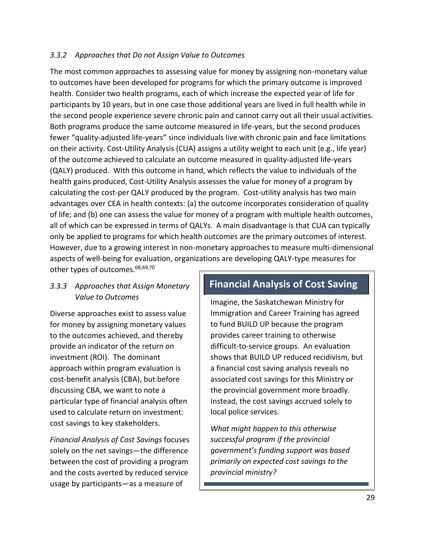### <span id="page-38-0"></span>*3.3.2 Approaches that Do not Assign Value to Outcomes*

The most common approaches to assessing value for money by assigning non-monetary value to outcomes have been developed for programs for which the primary outcome is improved health. Consider two health programs, each of which increase the expected year of life for participants by 10 years, but in one case those additional years are lived in full health while in the second people experience severe chronic pain and cannot carry out all their usual activities. Both programs produce the same outcome measured in life-years, but the second produces fewer "quality-adjusted life-years" since individuals live with chronic pain and face limitations on their activity. Cost-Utility Analysis (CUA) assigns a utility weight to each unit (e.g., life year) of the outcome achieved to calculate an outcome measured in quality-adjusted life-years (QALY) produced. With this outcome in hand, which reflects the value to individuals of the health gains produced, Cost-Utility Analysis assesses the value for money of a program by calculating the cost-per QALY produced by the program. Cost-utility analysis has two main advantages over CEA in health contexts: (a) the outcome incorporates consideration of quality of life; and (b) one can assess the value for money of a program with multiple health outcomes, all of which can be expressed in terms of QALYs. A main disadvantage is that CUA can typically only be applied to programs for which health outcomes are the primary outcomes of interest. However, due to a growing interest in non-monetary approaches to measure multi-dimensional aspects of well-being for evaluation, organizations are developing QALY-type measures for

other types of outcomes.<sup>68,69,70</sup>

#### <span id="page-38-1"></span>*3.3.3 Approaches that Assign Monetary Value to Outcomes*

Diverse approaches exist to assess value for money by assigning monetary values to the outcomes achieved, and thereby provide an indicator of the return on investment (ROI). The dominant approach within program evaluation is cost-benefit analysis (CBA), but before discussing CBA, we want to note a particular type of financial analysis often used to calculate return on investment: cost savings to key stakeholders.

<span id="page-38-2"></span>*Financial Analysis of Cost Savings* focuses solely on the net savings—the difference between the cost of providing a program and the costs averted by reduced service usage by participants—as a measure of

## **Financial Analysis of Cost Saving**

Imagine, the Saskatchewan Ministry for Immigration and Career Training has agreed to fund BUILD UP because the program provides career training to otherwise difficult-to-service groups. An evaluation shows that BUILD UP reduced recidivism, but a financial cost saving analysis reveals no associated cost savings for this Ministry or the provincial government more broadly. Instead, the cost savings accrued solely to local police services.

*What might happen to this otherwise successful program if the provincial government's funding support was based primarily on expected cost savings to the provincial ministry?*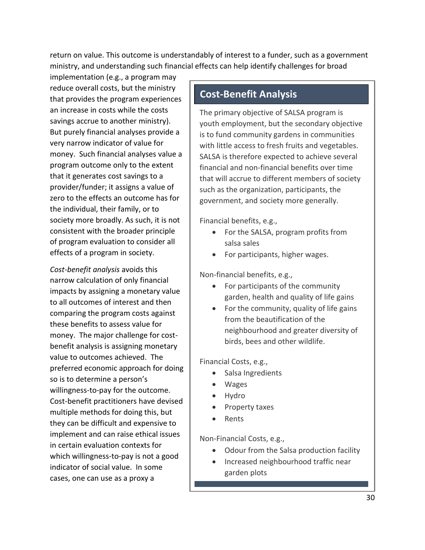return on value. This outcome is understandably of interest to a funder, such as a government ministry, and understanding such financial effects can help identify challenges for broad

implementation (e.g., a program may reduce overall costs, but the ministry that provides the program experiences an increase in costs while the costs savings accrue to another ministry). But purely financial analyses provide a very narrow indicator of value for money. Such financial analyses value a program outcome only to the extent that it generates cost savings to a provider/funder; it assigns a value of zero to the effects an outcome has for the individual, their family, or to society more broadly. As such, it is not consistent with the broader principle of program evaluation to consider all effects of a program in society.

<span id="page-39-0"></span>*Cost-benefit analysis* avoids this narrow calculation of only financial impacts by assigning a monetary value to all outcomes of interest and then comparing the program costs against these benefits to assess value for money. The major challenge for costbenefit analysis is assigning monetary value to outcomes achieved. The preferred economic approach for doing so is to determine a person's willingness-to-pay for the outcome. Cost-benefit practitioners have devised multiple methods for doing this, but they can be difficult and expensive to implement and can raise ethical issues in certain evaluation contexts for which willingness-to-pay is not a good indicator of social value. In some cases, one can use as a proxy a

# **Cost-Benefit Analysis**

The primary objective of SALSA program is youth employment, but the secondary objective is to fund community gardens in communities with little access to fresh fruits and vegetables. SALSA is therefore expected to achieve several financial and non-financial benefits over time that will accrue to different members of society such as the organization, participants, the government, and society more generally.

Financial benefits, e.g.,

- For the SALSA, program profits from salsa sales
- For participants, higher wages.

Non-financial benefits, e.g.,

- For participants of the community garden, health and quality of life gains
- For the community, quality of life gains from the beautification of the neighbourhood and greater diversity of birds, bees and other wildlife.

Financial Costs, e.g.,

- Salsa Ingredients
- Wages
- Hydro
- Property taxes
- Rents

Non-Financial Costs, e.g.,

- Odour from the Salsa production facility
- Increased neighbourhood traffic near garden plots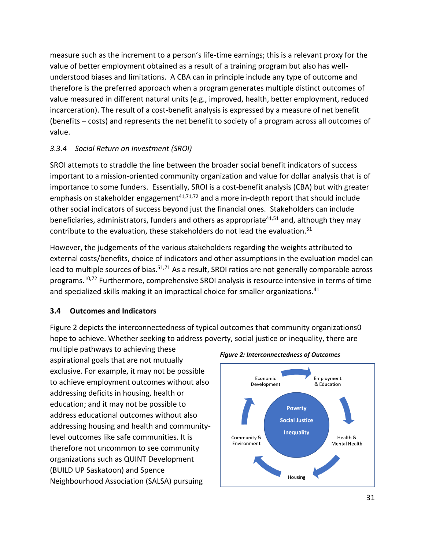measure such as the increment to a person's life-time earnings; this is a relevant proxy for the value of better employment obtained as a result of a training program but also has wellunderstood biases and limitations. A CBA can in principle include any type of outcome and therefore is the preferred approach when a program generates multiple distinct outcomes of value measured in different natural units (e.g., improved, health, better employment, reduced incarceration). The result of a cost-benefit analysis is expressed by a measure of net benefit (benefits – costs) and represents the net benefit to society of a program across all outcomes of value.

## <span id="page-40-0"></span>*3.3.4 Social Return on Investment (SROI)*

SROI attempts to straddle the line between the broader social benefit indicators of success important to a mission-oriented community organization and value for dollar analysis that is of importance to some funders. Essentially, SROI is a cost-benefit analysis (CBA) but with greater emphasis on stakeholder engagement $41,71,72$  and a more in-depth report that should include other social indicators of success beyond just the financial ones. Stakeholders can include beneficiaries, administrators, funders and others as appropriate<sup>41,51</sup> and, although they may contribute to the evaluation, these stakeholders do not lead the evaluation.<sup>51</sup>

However, the judgements of the various stakeholders regarding the weights attributed to external costs/benefits, choice of indicators and other assumptions in the evaluation model can lead to multiple sources of bias.<sup>51,71</sup> As a result, SROI ratios are not generally comparable across programs.10,72 Furthermore, comprehensive SROI analysis is resource intensive in terms of time and specialized skills making it an impractical choice for smaller organizations.<sup>41</sup>

## <span id="page-40-1"></span>**3.4 Outcomes and Indicators**

Figure 2 depicts the interconnectedness of typical outcomes that community organizations0 hope to achieve. Whether seeking to address poverty, social justice or inequality, there are

multiple pathways to achieving these aspirational goals that are not mutually exclusive. For example, it may not be possible to achieve employment outcomes without also addressing deficits in housing, health or education; and it may not be possible to address educational outcomes without also addressing housing and health and communitylevel outcomes like safe communities. It is therefore not uncommon to see community organizations such as QUINT Development (BUILD UP Saskatoon) and Spence Neighbourhood Association (SALSA) pursuing



*Figure 2: Interconnectedness of Outcomes*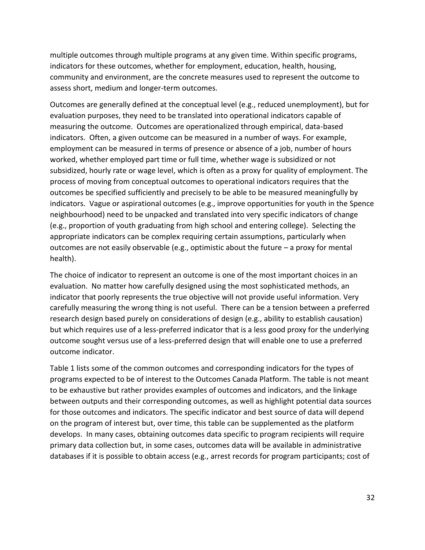multiple outcomes through multiple programs at any given time. Within specific programs, indicators for these outcomes, whether for employment, education, health, housing, community and environment, are the concrete measures used to represent the outcome to assess short, medium and longer-term outcomes.

Outcomes are generally defined at the conceptual level (e.g., reduced unemployment), but for evaluation purposes, they need to be translated into operational indicators capable of measuring the outcome. Outcomes are operationalized through empirical, data-based indicators. Often, a given outcome can be measured in a number of ways. For example, employment can be measured in terms of presence or absence of a job, number of hours worked, whether employed part time or full time, whether wage is subsidized or not subsidized, hourly rate or wage level, which is often as a proxy for quality of employment. The process of moving from conceptual outcomes to operational indicators requires that the outcomes be specified sufficiently and precisely to be able to be measured meaningfully by indicators. Vague or aspirational outcomes (e.g., improve opportunities for youth in the Spence neighbourhood) need to be unpacked and translated into very specific indicators of change (e.g., proportion of youth graduating from high school and entering college). Selecting the appropriate indicators can be complex requiring certain assumptions, particularly when outcomes are not easily observable (e.g., optimistic about the future – a proxy for mental health).

The choice of indicator to represent an outcome is one of the most important choices in an evaluation. No matter how carefully designed using the most sophisticated methods, an indicator that poorly represents the true objective will not provide useful information. Very carefully measuring the wrong thing is not useful. There can be a tension between a preferred research design based purely on considerations of design (e.g., ability to establish causation) but which requires use of a less-preferred indicator that is a less good proxy for the underlying outcome sought versus use of a less-preferred design that will enable one to use a preferred outcome indicator.

Table 1 lists some of the common outcomes and corresponding indicators for the types of programs expected to be of interest to the Outcomes Canada Platform. The table is not meant to be exhaustive but rather provides examples of outcomes and indicators, and the linkage between outputs and their corresponding outcomes, as well as highlight potential data sources for those outcomes and indicators. The specific indicator and best source of data will depend on the program of interest but, over time, this table can be supplemented as the platform develops. In many cases, obtaining outcomes data specific to program recipients will require primary data collection but, in some cases, outcomes data will be available in administrative databases if it is possible to obtain access (e.g., arrest records for program participants; cost of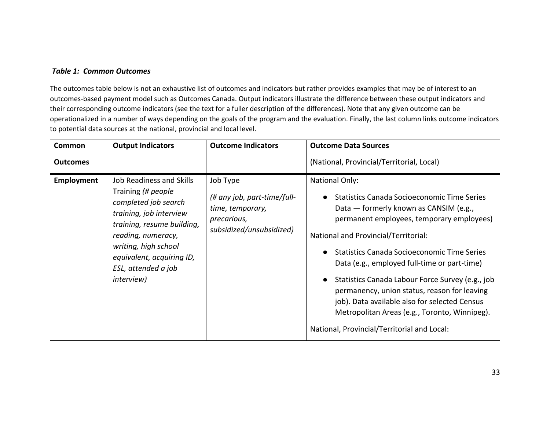#### *Table 1: Common Outcomes*

The outcomes table below is not an exhaustive list of outcomes and indicators but rather provides examples that may be of interest to an outcomes-based payment model such as Outcomes Canada. Output indicators illustrate the difference between these output indicators and their corresponding outcome indicators (see the text for a fuller description of the differences). Note that any given outcome can be operationalized in a number of ways depending on the goals of the program and the evaluation. Finally, the last column links outcome indicators to potential data sources at the national, provincial and local level.

<span id="page-42-0"></span>

| Common          | <b>Output Indicators</b>                                                                                                                                                                                                                                       | <b>Outcome Indicators</b>                                                                              | <b>Outcome Data Sources</b>                                                                                                                                                                                                                                                                                                                                                                                                                                                                                                                                                       |
|-----------------|----------------------------------------------------------------------------------------------------------------------------------------------------------------------------------------------------------------------------------------------------------------|--------------------------------------------------------------------------------------------------------|-----------------------------------------------------------------------------------------------------------------------------------------------------------------------------------------------------------------------------------------------------------------------------------------------------------------------------------------------------------------------------------------------------------------------------------------------------------------------------------------------------------------------------------------------------------------------------------|
| <b>Outcomes</b> |                                                                                                                                                                                                                                                                |                                                                                                        | (National, Provincial/Territorial, Local)                                                                                                                                                                                                                                                                                                                                                                                                                                                                                                                                         |
| Employment      | <b>Job Readiness and Skills</b><br>Training (# people<br>completed job search<br>training, job interview<br>training, resume building,<br>reading, numeracy,<br>writing, high school<br>equivalent, acquiring ID,<br>ESL, attended a job<br><i>interview</i> ) | Job Type<br>(# any job, part-time/full-<br>time, temporary,<br>precarious,<br>subsidized/unsubsidized) | <b>National Only:</b><br>Statistics Canada Socioeconomic Time Series<br>Data — formerly known as CANSIM (e.g.,<br>permanent employees, temporary employees)<br>National and Provincial/Territorial:<br>Statistics Canada Socioeconomic Time Series<br>$\bullet$<br>Data (e.g., employed full-time or part-time)<br>Statistics Canada Labour Force Survey (e.g., job<br>$\bullet$<br>permanency, union status, reason for leaving<br>job). Data available also for selected Census<br>Metropolitan Areas (e.g., Toronto, Winnipeg).<br>National, Provincial/Territorial and Local: |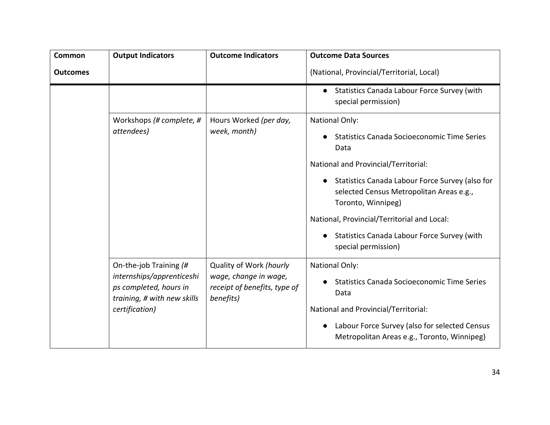| Common          | <b>Output Indicators</b>                                                                                                       | <b>Outcome Indicators</b>                                                                     | <b>Outcome Data Sources</b>                                                                                       |
|-----------------|--------------------------------------------------------------------------------------------------------------------------------|-----------------------------------------------------------------------------------------------|-------------------------------------------------------------------------------------------------------------------|
| <b>Outcomes</b> |                                                                                                                                |                                                                                               | (National, Provincial/Territorial, Local)                                                                         |
|                 |                                                                                                                                |                                                                                               | Statistics Canada Labour Force Survey (with<br>$\bullet$<br>special permission)                                   |
|                 | Workshops (# complete, #<br>attendees)                                                                                         | Hours Worked (per day,<br>week, month)                                                        | <b>National Only:</b>                                                                                             |
|                 |                                                                                                                                |                                                                                               | <b>Statistics Canada Socioeconomic Time Series</b><br>Data                                                        |
|                 |                                                                                                                                |                                                                                               | National and Provincial/Territorial:                                                                              |
|                 |                                                                                                                                |                                                                                               | Statistics Canada Labour Force Survey (also for<br>selected Census Metropolitan Areas e.g.,<br>Toronto, Winnipeg) |
|                 |                                                                                                                                |                                                                                               | National, Provincial/Territorial and Local:                                                                       |
|                 |                                                                                                                                |                                                                                               | Statistics Canada Labour Force Survey (with<br>special permission)                                                |
|                 | On-the-job Training (#<br>internships/apprenticeshi<br>ps completed, hours in<br>training, # with new skills<br>certification) | Quality of Work (hourly<br>wage, change in wage,<br>receipt of benefits, type of<br>benefits) | <b>National Only:</b>                                                                                             |
|                 |                                                                                                                                |                                                                                               | <b>Statistics Canada Socioeconomic Time Series</b><br>Data                                                        |
|                 |                                                                                                                                |                                                                                               | National and Provincial/Territorial:                                                                              |
|                 |                                                                                                                                |                                                                                               | Labour Force Survey (also for selected Census<br>$\bullet$<br>Metropolitan Areas e.g., Toronto, Winnipeg)         |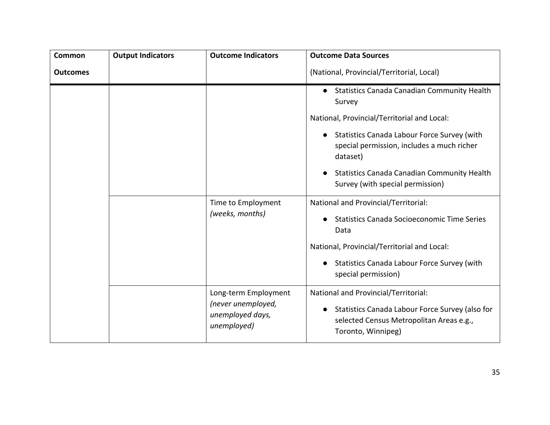| <b>Common</b>   | <b>Output Indicators</b>              | <b>Outcome Indicators</b>                                  | <b>Outcome Data Sources</b>                                                                                                    |
|-----------------|---------------------------------------|------------------------------------------------------------|--------------------------------------------------------------------------------------------------------------------------------|
| <b>Outcomes</b> |                                       |                                                            | (National, Provincial/Territorial, Local)                                                                                      |
|                 |                                       |                                                            | <b>Statistics Canada Canadian Community Health</b><br>$\bullet$<br>Survey                                                      |
|                 |                                       |                                                            | National, Provincial/Territorial and Local:                                                                                    |
|                 |                                       |                                                            | Statistics Canada Labour Force Survey (with<br>$\bullet$<br>special permission, includes a much richer<br>dataset)             |
|                 |                                       |                                                            | <b>Statistics Canada Canadian Community Health</b><br>$\bullet$<br>Survey (with special permission)                            |
|                 | Time to Employment<br>(weeks, months) | National and Provincial/Territorial:                       |                                                                                                                                |
|                 |                                       | <b>Statistics Canada Socioeconomic Time Series</b><br>Data |                                                                                                                                |
|                 |                                       |                                                            | National, Provincial/Territorial and Local:                                                                                    |
|                 |                                       |                                                            | Statistics Canada Labour Force Survey (with<br>$\bullet$<br>special permission)                                                |
|                 |                                       | Long-term Employment                                       | National and Provincial/Territorial:                                                                                           |
|                 |                                       | (never unemployed,<br>unemployed days,<br>unemployed)      | Statistics Canada Labour Force Survey (also for<br>$\bullet$<br>selected Census Metropolitan Areas e.g.,<br>Toronto, Winnipeg) |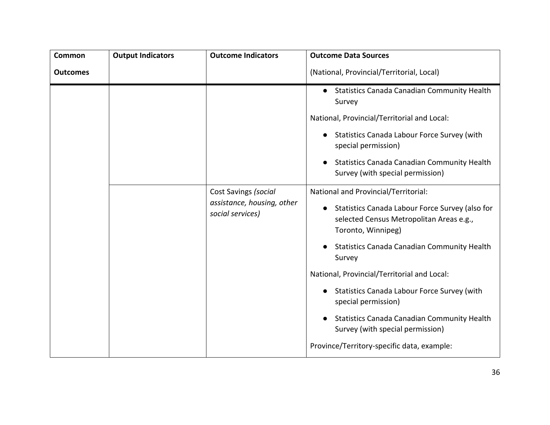| <b>Common</b>   | <b>Output Indicators</b> | <b>Outcome Indicators</b>                          | <b>Outcome Data Sources</b>                                                                                                                                            |
|-----------------|--------------------------|----------------------------------------------------|------------------------------------------------------------------------------------------------------------------------------------------------------------------------|
| <b>Outcomes</b> |                          |                                                    | (National, Provincial/Territorial, Local)                                                                                                                              |
|                 |                          |                                                    | <b>Statistics Canada Canadian Community Health</b><br>Survey                                                                                                           |
|                 |                          |                                                    | National, Provincial/Territorial and Local:                                                                                                                            |
|                 |                          |                                                    | Statistics Canada Labour Force Survey (with<br>special permission)                                                                                                     |
|                 |                          |                                                    | <b>Statistics Canada Canadian Community Health</b><br>Survey (with special permission)                                                                                 |
|                 | social services)         | Cost Savings (social<br>assistance, housing, other | National and Provincial/Territorial:<br>Statistics Canada Labour Force Survey (also for<br>$\bullet$<br>selected Census Metropolitan Areas e.g.,<br>Toronto, Winnipeg) |
|                 |                          |                                                    | <b>Statistics Canada Canadian Community Health</b><br>Survey                                                                                                           |
|                 |                          |                                                    | National, Provincial/Territorial and Local:                                                                                                                            |
|                 |                          |                                                    | Statistics Canada Labour Force Survey (with<br>$\bullet$<br>special permission)                                                                                        |
|                 |                          |                                                    | <b>Statistics Canada Canadian Community Health</b><br>Survey (with special permission)                                                                                 |
|                 |                          |                                                    | Province/Territory-specific data, example:                                                                                                                             |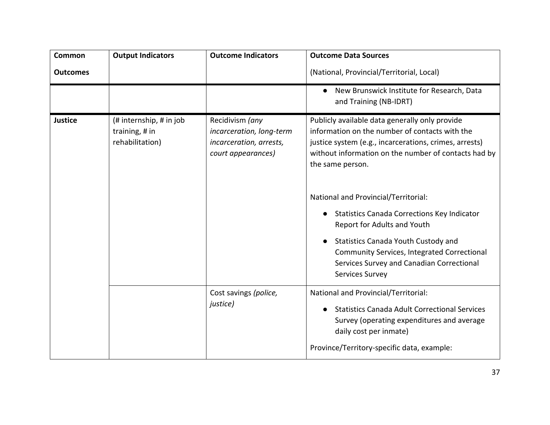| <b>Common</b>   | <b>Output Indicators</b>                                     | <b>Outcome Indicators</b>                                                                    | <b>Outcome Data Sources</b>                                                                                                                                                                                                                                                                                                                                                                                                                                                                                                                   |
|-----------------|--------------------------------------------------------------|----------------------------------------------------------------------------------------------|-----------------------------------------------------------------------------------------------------------------------------------------------------------------------------------------------------------------------------------------------------------------------------------------------------------------------------------------------------------------------------------------------------------------------------------------------------------------------------------------------------------------------------------------------|
| <b>Outcomes</b> |                                                              |                                                                                              | (National, Provincial/Territorial, Local)                                                                                                                                                                                                                                                                                                                                                                                                                                                                                                     |
|                 |                                                              |                                                                                              | New Brunswick Institute for Research, Data<br>$\bullet$<br>and Training (NB-IDRT)                                                                                                                                                                                                                                                                                                                                                                                                                                                             |
| <b>Justice</b>  | (# internship, # in job<br>training, # in<br>rehabilitation) | Recidivism (any<br>incarceration, long-term<br>incarceration, arrests,<br>court appearances) | Publicly available data generally only provide<br>information on the number of contacts with the<br>justice system (e.g., incarcerations, crimes, arrests)<br>without information on the number of contacts had by<br>the same person.<br>National and Provincial/Territorial:<br><b>Statistics Canada Corrections Key Indicator</b><br>Report for Adults and Youth<br><b>Statistics Canada Youth Custody and</b><br>$\bullet$<br>Community Services, Integrated Correctional<br>Services Survey and Canadian Correctional<br>Services Survey |
|                 |                                                              | Cost savings (police,<br>justice)                                                            | National and Provincial/Territorial:<br><b>Statistics Canada Adult Correctional Services</b><br>Survey (operating expenditures and average<br>daily cost per inmate)<br>Province/Territory-specific data, example:                                                                                                                                                                                                                                                                                                                            |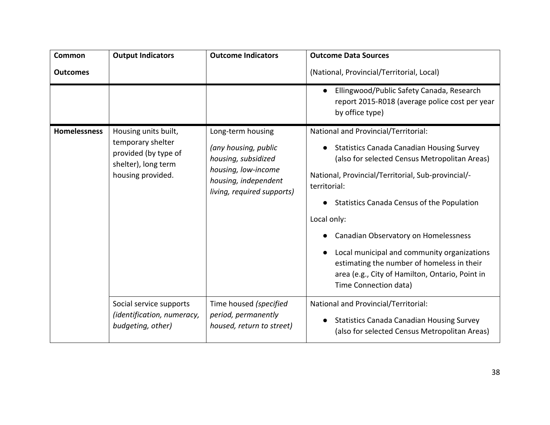| Common              | <b>Output Indicators</b>                                                                                      | <b>Outcome Indicators</b>                                                                                                                     | <b>Outcome Data Sources</b>                                                                                                                                                                                                                                                                                                                                                                                                                                                                   |
|---------------------|---------------------------------------------------------------------------------------------------------------|-----------------------------------------------------------------------------------------------------------------------------------------------|-----------------------------------------------------------------------------------------------------------------------------------------------------------------------------------------------------------------------------------------------------------------------------------------------------------------------------------------------------------------------------------------------------------------------------------------------------------------------------------------------|
| <b>Outcomes</b>     |                                                                                                               |                                                                                                                                               | (National, Provincial/Territorial, Local)                                                                                                                                                                                                                                                                                                                                                                                                                                                     |
|                     |                                                                                                               |                                                                                                                                               | Ellingwood/Public Safety Canada, Research<br>$\bullet$<br>report 2015-R018 (average police cost per year<br>by office type)                                                                                                                                                                                                                                                                                                                                                                   |
| <b>Homelessness</b> | Housing units built,<br>temporary shelter<br>provided (by type of<br>shelter), long term<br>housing provided. | Long-term housing<br>(any housing, public<br>housing, subsidized<br>housing, low-income<br>housing, independent<br>living, required supports) | National and Provincial/Territorial:<br><b>Statistics Canada Canadian Housing Survey</b><br>(also for selected Census Metropolitan Areas)<br>National, Provincial/Territorial, Sub-provincial/-<br>territorial:<br>Statistics Canada Census of the Population<br>Local only:<br>Canadian Observatory on Homelessness<br>Local municipal and community organizations<br>estimating the number of homeless in their<br>area (e.g., City of Hamilton, Ontario, Point in<br>Time Connection data) |
|                     | Social service supports<br>(identification, numeracy,<br>budgeting, other)                                    | Time housed (specified<br>period, permanently<br>housed, return to street)                                                                    | National and Provincial/Territorial:<br><b>Statistics Canada Canadian Housing Survey</b><br>(also for selected Census Metropolitan Areas)                                                                                                                                                                                                                                                                                                                                                     |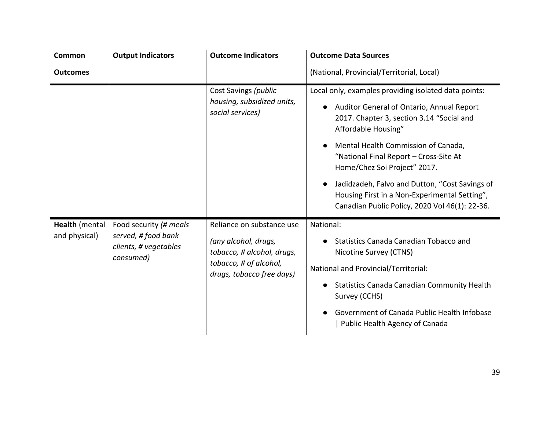| Common                          | <b>Output Indicators</b>                                                            | <b>Outcome Indicators</b>                                                                                                              | <b>Outcome Data Sources</b>                                                                                                                                                                                                                                                                                                                                                                                                                              |
|---------------------------------|-------------------------------------------------------------------------------------|----------------------------------------------------------------------------------------------------------------------------------------|----------------------------------------------------------------------------------------------------------------------------------------------------------------------------------------------------------------------------------------------------------------------------------------------------------------------------------------------------------------------------------------------------------------------------------------------------------|
| <b>Outcomes</b>                 |                                                                                     |                                                                                                                                        | (National, Provincial/Territorial, Local)                                                                                                                                                                                                                                                                                                                                                                                                                |
|                                 |                                                                                     | Cost Savings (public<br>housing, subsidized units,<br>social services)                                                                 | Local only, examples providing isolated data points:<br>Auditor General of Ontario, Annual Report<br>2017. Chapter 3, section 3.14 "Social and<br>Affordable Housing"<br>Mental Health Commission of Canada,<br>"National Final Report - Cross-Site At<br>Home/Chez Soi Project" 2017.<br>Jadidzadeh, Falvo and Dutton, "Cost Savings of<br>$\bullet$<br>Housing First in a Non-Experimental Setting",<br>Canadian Public Policy, 2020 Vol 46(1): 22-36. |
| Health (mental<br>and physical) | Food security (# meals<br>served, # food bank<br>clients, # vegetables<br>consumed) | Reliance on substance use<br>(any alcohol, drugs,<br>tobacco, # alcohol, drugs,<br>tobacco, # of alcohol,<br>drugs, tobacco free days) | National:<br><b>Statistics Canada Canadian Tobacco and</b><br>Nicotine Survey (CTNS)<br>National and Provincial/Territorial:<br><b>Statistics Canada Canadian Community Health</b><br>Survey (CCHS)<br>Government of Canada Public Health Infobase<br>Public Health Agency of Canada                                                                                                                                                                     |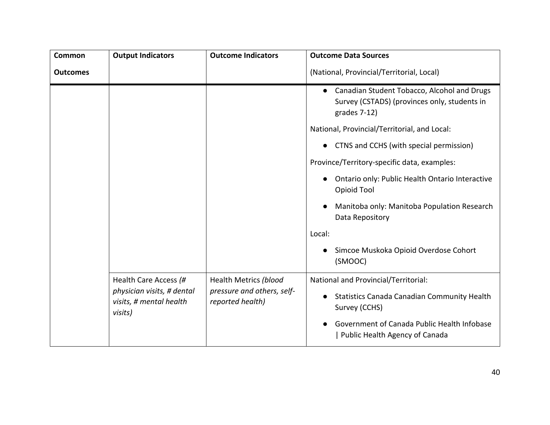| <b>Common</b>   | <b>Output Indicators</b>                                                                  | <b>Outcome Indicators</b>                                               | <b>Outcome Data Sources</b>                                                                                                                                                                               |
|-----------------|-------------------------------------------------------------------------------------------|-------------------------------------------------------------------------|-----------------------------------------------------------------------------------------------------------------------------------------------------------------------------------------------------------|
| <b>Outcomes</b> |                                                                                           |                                                                         | (National, Provincial/Territorial, Local)                                                                                                                                                                 |
|                 |                                                                                           |                                                                         | Canadian Student Tobacco, Alcohol and Drugs<br>$\bullet$<br>Survey (CSTADS) (provinces only, students in<br>grades 7-12)                                                                                  |
|                 |                                                                                           |                                                                         | National, Provincial/Territorial, and Local:                                                                                                                                                              |
|                 |                                                                                           |                                                                         | CTNS and CCHS (with special permission)<br>$\bullet$                                                                                                                                                      |
|                 |                                                                                           |                                                                         | Province/Territory-specific data, examples:                                                                                                                                                               |
|                 |                                                                                           |                                                                         | Ontario only: Public Health Ontario Interactive<br>$\bullet$<br>Opioid Tool                                                                                                                               |
|                 |                                                                                           |                                                                         | Manitoba only: Manitoba Population Research<br>$\bullet$<br>Data Repository                                                                                                                               |
|                 |                                                                                           |                                                                         | Local:                                                                                                                                                                                                    |
|                 |                                                                                           |                                                                         | Simcoe Muskoka Opioid Overdose Cohort<br>(SMOOC)                                                                                                                                                          |
|                 | Health Care Access (#<br>physician visits, # dental<br>visits, # mental health<br>visits) | Health Metrics (blood<br>pressure and others, self-<br>reported health) | National and Provincial/Territorial:<br><b>Statistics Canada Canadian Community Health</b><br>$\bullet$<br>Survey (CCHS)<br>Government of Canada Public Health Infobase<br>Public Health Agency of Canada |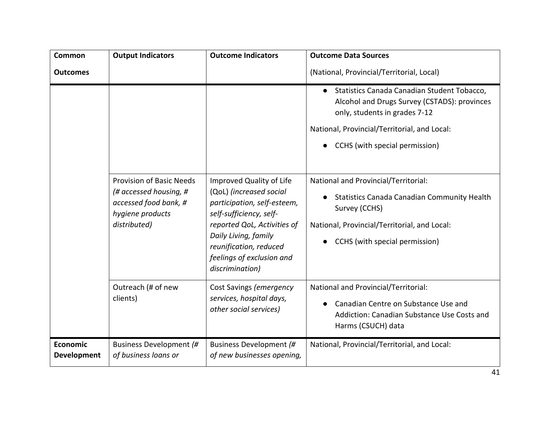| <b>Common</b>                  | <b>Output Indicators</b>                                                                                               | <b>Outcome Indicators</b>                                                                                                                                                                                                                      | <b>Outcome Data Sources</b>                                                                                                                                                                                                 |
|--------------------------------|------------------------------------------------------------------------------------------------------------------------|------------------------------------------------------------------------------------------------------------------------------------------------------------------------------------------------------------------------------------------------|-----------------------------------------------------------------------------------------------------------------------------------------------------------------------------------------------------------------------------|
| <b>Outcomes</b>                |                                                                                                                        |                                                                                                                                                                                                                                                | (National, Provincial/Territorial, Local)                                                                                                                                                                                   |
|                                |                                                                                                                        |                                                                                                                                                                                                                                                | Statistics Canada Canadian Student Tobacco,<br>$\bullet$<br>Alcohol and Drugs Survey (CSTADS): provinces<br>only, students in grades 7-12<br>National, Provincial/Territorial, and Local:<br>CCHS (with special permission) |
|                                | <b>Provision of Basic Needs</b><br>(# accessed housing, #<br>accessed food bank, #<br>hygiene products<br>distributed) | Improved Quality of Life<br>(QoL) (increased social<br>participation, self-esteem,<br>self-sufficiency, self-<br>reported QoL, Activities of<br>Daily Living, family<br>reunification, reduced<br>feelings of exclusion and<br>discrimination) | National and Provincial/Territorial:<br>Statistics Canada Canadian Community Health<br>Survey (CCHS)<br>National, Provincial/Territorial, and Local:<br>CCHS (with special permission)                                      |
|                                | Outreach (# of new<br>clients)                                                                                         | Cost Savings (emergency<br>services, hospital days,<br>other social services)                                                                                                                                                                  | National and Provincial/Territorial:<br>Canadian Centre on Substance Use and<br>Addiction: Canadian Substance Use Costs and<br>Harms (CSUCH) data                                                                           |
| Economic<br><b>Development</b> | Business Development (#<br>of business loans or                                                                        | Business Development (#<br>of new businesses opening,                                                                                                                                                                                          | National, Provincial/Territorial, and Local:                                                                                                                                                                                |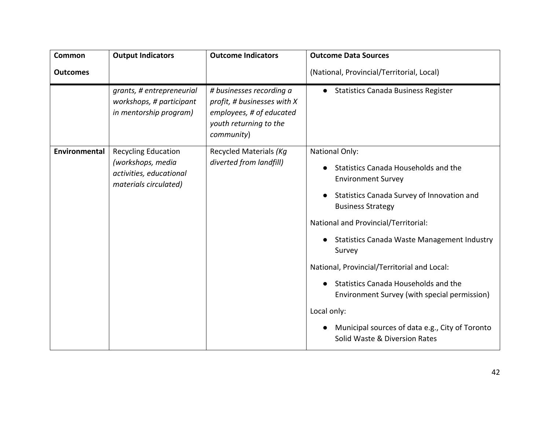| <b>Common</b>   | <b>Output Indicators</b>                                                                            | <b>Outcome Indicators</b>                                                                                                   | <b>Outcome Data Sources</b>                                                                                                                                                                                                                                                                                                                                                                                                                                                                                                                      |
|-----------------|-----------------------------------------------------------------------------------------------------|-----------------------------------------------------------------------------------------------------------------------------|--------------------------------------------------------------------------------------------------------------------------------------------------------------------------------------------------------------------------------------------------------------------------------------------------------------------------------------------------------------------------------------------------------------------------------------------------------------------------------------------------------------------------------------------------|
| <b>Outcomes</b> |                                                                                                     |                                                                                                                             | (National, Provincial/Territorial, Local)                                                                                                                                                                                                                                                                                                                                                                                                                                                                                                        |
|                 | grants, # entrepreneurial<br>workshops, # participant<br>in mentorship program)                     | # businesses recording a<br>profit, # businesses with X<br>employees, # of educated<br>youth returning to the<br>community) | <b>Statistics Canada Business Register</b><br>$\bullet$                                                                                                                                                                                                                                                                                                                                                                                                                                                                                          |
| Environmental   | <b>Recycling Education</b><br>(workshops, media<br>activities, educational<br>materials circulated) | Recycled Materials (Kg<br>diverted from landfill)                                                                           | <b>National Only:</b><br>Statistics Canada Households and the<br><b>Environment Survey</b><br>Statistics Canada Survey of Innovation and<br>$\bullet$<br><b>Business Strategy</b><br>National and Provincial/Territorial:<br><b>Statistics Canada Waste Management Industry</b><br>Survey<br>National, Provincial/Territorial and Local:<br>Statistics Canada Households and the<br>$\bullet$<br>Environment Survey (with special permission)<br>Local only:<br>Municipal sources of data e.g., City of Toronto<br>Solid Waste & Diversion Rates |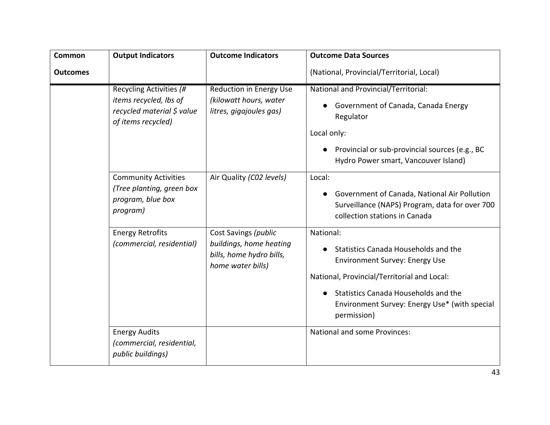| <b>Common</b>   | <b>Output Indicators</b>                                                                              | <b>Outcome Indicators</b>                                                                        | <b>Outcome Data Sources</b>                                                                                                                                                                                                                       |
|-----------------|-------------------------------------------------------------------------------------------------------|--------------------------------------------------------------------------------------------------|---------------------------------------------------------------------------------------------------------------------------------------------------------------------------------------------------------------------------------------------------|
| <b>Outcomes</b> |                                                                                                       |                                                                                                  | (National, Provincial/Territorial, Local)                                                                                                                                                                                                         |
|                 | Recycling Activities (#<br>items recycled, lbs of<br>recycled material \$ value<br>of items recycled) | <b>Reduction in Energy Use</b><br>(kilowatt hours, water<br>litres, gigajoules gas)              | National and Provincial/Territorial:<br>Government of Canada, Canada Energy<br>Regulator<br>Local only:<br>Provincial or sub-provincial sources (e.g., BC<br>Hydro Power smart, Vancouver Island)                                                 |
|                 | <b>Community Activities</b><br>(Tree planting, green box<br>program, blue box<br>program)             | Air Quality (CO2 levels)                                                                         | Local:<br>Government of Canada, National Air Pollution<br>Surveillance (NAPS) Program, data for over 700<br>collection stations in Canada                                                                                                         |
|                 | <b>Energy Retrofits</b><br>(commercial, residential)                                                  | Cost Savings (public<br>buildings, home heating<br>bills, home hydro bills,<br>home water bills) | National:<br>Statistics Canada Households and the<br><b>Environment Survey: Energy Use</b><br>National, Provincial/Territorial and Local:<br>Statistics Canada Households and the<br>Environment Survey: Energy Use* (with special<br>permission) |
|                 | <b>Energy Audits</b><br>(commercial, residential,<br>public buildings)                                |                                                                                                  | National and some Provinces:                                                                                                                                                                                                                      |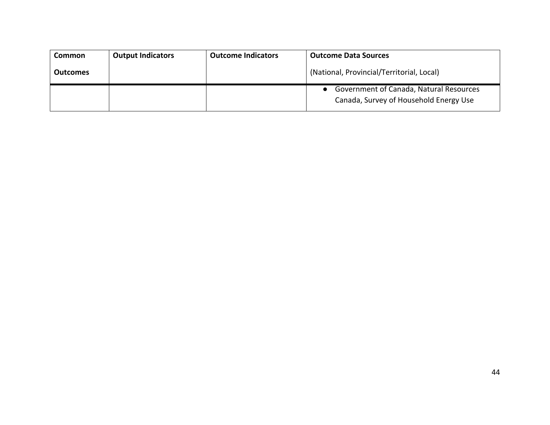| <b>Common</b>   | <b>Output Indicators</b> | <b>Outcome Indicators</b> | <b>Outcome Data Sources</b>                                                       |
|-----------------|--------------------------|---------------------------|-----------------------------------------------------------------------------------|
| <b>Outcomes</b> |                          |                           | (National, Provincial/Territorial, Local)                                         |
|                 |                          |                           | Government of Canada, Natural Resources<br>Canada, Survey of Household Energy Use |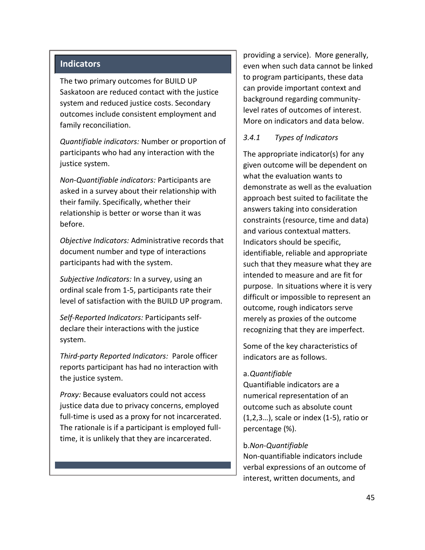#### **Indicators**

The two primary outcomes for BUILD UP Saskatoon are reduced contact with the justice system and reduced justice costs. Secondary outcomes include consistent employment and family reconciliation.

*Quantifiable indicators:* Number or proportion of participants who had any interaction with the justice system.

*Non-Quantifiable indicators:* Participants are asked in a survey about their relationship with their family. Specifically, whether their relationship is better or worse than it was before.

*Objective Indicators:* Administrative records that document number and type of interactions participants had with the system.

*Subjective Indicators:* In a survey, using an ordinal scale from 1-5, participants rate their level of satisfaction with the BUILD UP program.

*Self-Reported Indicators:* Participants selfdeclare their interactions with the justice system.

*Third-party Reported Indicators:* Parole officer reports participant has had no interaction with the justice system.

*Proxy:* Because evaluators could not access justice data due to privacy concerns, employed full-time is used as a proxy for not incarcerated. The rationale is if a participant is employed fulltime, it is unlikely that they are incarcerated.

providing a service). More generally, even when such data cannot be linked to program participants, these data can provide important context and background regarding communitylevel rates of outcomes of interest. More on indicators and data below.

#### <span id="page-54-0"></span>*3.4.1 Types of Indicators*

The appropriate indicator(s) for any given outcome will be dependent on what the evaluation wants to demonstrate as well as the evaluation approach best suited to facilitate the answers taking into consideration constraints (resource, time and data) and various contextual matters. Indicators should be specific, identifiable, reliable and appropriate such that they measure what they are intended to measure and are fit for purpose. In situations where it is very difficult or impossible to represent an outcome, rough indicators serve merely as proxies of the outcome recognizing that they are imperfect.

Some of the key characteristics of indicators are as follows.

#### <span id="page-54-1"></span>a.*Quantifiable*

Quantifiable indicators are a numerical representation of an outcome such as absolute count (1,2,3…), scale or index (1-5), ratio or percentage (%).

#### <span id="page-54-2"></span>b.*Non-Quantifiable*

Non-quantifiable indicators include verbal expressions of an outcome of interest, written documents, and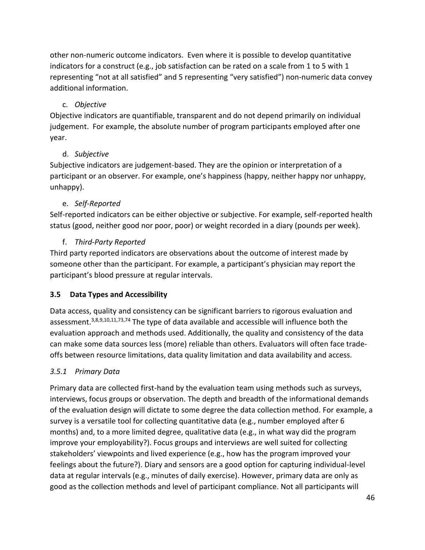other non-numeric outcome indicators. Even where it is possible to develop quantitative indicators for a construct (e.g., job satisfaction can be rated on a scale from 1 to 5 with 1 representing "not at all satisfied" and 5 representing "very satisfied") non-numeric data convey additional information.

## c. *Objective*

<span id="page-55-0"></span>Objective indicators are quantifiable, transparent and do not depend primarily on individual judgement. For example, the absolute number of program participants employed after one year.

## d. *Subjective*

<span id="page-55-1"></span>Subjective indicators are judgement-based. They are the opinion or interpretation of a participant or an observer. For example, one's happiness (happy, neither happy nor unhappy, unhappy).

## e. *Self-Reported*

<span id="page-55-2"></span>Self-reported indicators can be either objective or subjective. For example, self-reported health status (good, neither good nor poor, poor) or weight recorded in a diary (pounds per week).

## f. *Third-Party Reported*

<span id="page-55-3"></span>Third party reported indicators are observations about the outcome of interest made by someone other than the participant. For example, a participant's physician may report the participant's blood pressure at regular intervals.

### <span id="page-55-4"></span>**3.5 Data Types and Accessibility**

Data access, quality and consistency can be significant barriers to rigorous evaluation and assessment.3,8,9,10,11,73,74 The type of data available and accessible will influence both the evaluation approach and methods used. Additionally, the quality and consistency of the data can make some data sources less (more) reliable than others. Evaluators will often face tradeoffs between resource limitations, data quality limitation and data availability and access.

### <span id="page-55-5"></span>*3.5.1 Primary Data*

Primary data are collected first-hand by the evaluation team using methods such as surveys, interviews, focus groups or observation. The depth and breadth of the informational demands of the evaluation design will dictate to some degree the data collection method. For example, a survey is a versatile tool for collecting quantitative data (e.g., number employed after 6 months) and, to a more limited degree, qualitative data (e.g., in what way did the program improve your employability?). Focus groups and interviews are well suited for collecting stakeholders' viewpoints and lived experience (e.g., how has the program improved your feelings about the future?). Diary and sensors are a good option for capturing individual-level data at regular intervals (e.g., minutes of daily exercise). However, primary data are only as good as the collection methods and level of participant compliance. Not all participants will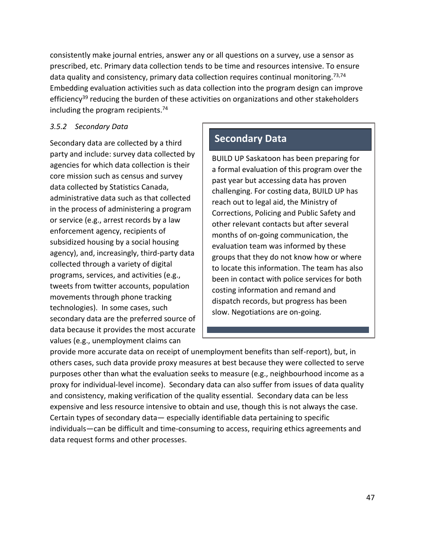consistently make journal entries, answer any or all questions on a survey, use a sensor as prescribed, etc. Primary data collection tends to be time and resources intensive. To ensure data quality and consistency, primary data collection requires continual monitoring.<sup>73,74</sup> Embedding evaluation activities such as data collection into the program design can improve efficiency<sup>39</sup> reducing the burden of these activities on organizations and other stakeholders including the program recipients.<sup>74</sup>

### <span id="page-56-0"></span>*3.5.2 Secondary Data*

Secondary data are collected by a third party and include: survey data collected by agencies for which data collection is their core mission such as census and survey data collected by Statistics Canada, administrative data such as that collected in the process of administering a program or service (e.g., arrest records by a law enforcement agency, recipients of subsidized housing by a social housing agency), and, increasingly, third-party data collected through a variety of digital programs, services, and activities (e.g., tweets from twitter accounts, population movements through phone tracking technologies). In some cases, such secondary data are the preferred source of data because it provides the most accurate values (e.g., unemployment claims can

# **Secondary Data**

BUILD UP Saskatoon has been preparing for a formal evaluation of this program over the past year but accessing data has proven challenging. For costing data, BUILD UP has reach out to legal aid, the Ministry of Corrections, Policing and Public Safety and other relevant contacts but after several months of on-going communication, the evaluation team was informed by these groups that they do not know how or where to locate this information. The team has also been in contact with police services for both costing information and remand and dispatch records, but progress has been slow. Negotiations are on-going.

provide more accurate data on receipt of unemployment benefits than self-report), but, in others cases, such data provide proxy measures at best because they were collected to serve purposes other than what the evaluation seeks to measure (e.g., neighbourhood income as a proxy for individual-level income). Secondary data can also suffer from issues of data quality and consistency, making verification of the quality essential. Secondary data can be less expensive and less resource intensive to obtain and use, though this is not always the case. Certain types of secondary data— especially identifiable data pertaining to specific individuals—can be difficult and time-consuming to access, requiring ethics agreements and data request forms and other processes.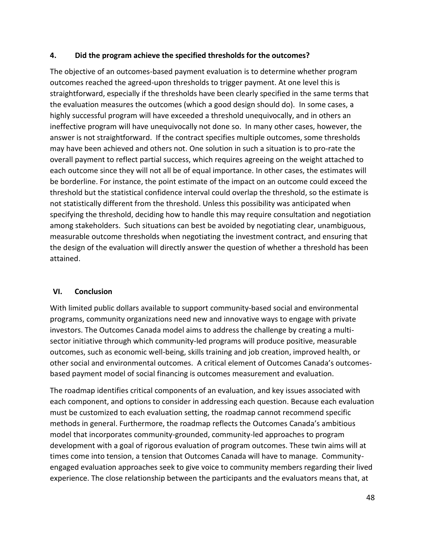#### <span id="page-57-0"></span>**4. Did the program achieve the specified thresholds for the outcomes?**

The objective of an outcomes-based payment evaluation is to determine whether program outcomes reached the agreed-upon thresholds to trigger payment. At one level this is straightforward, especially if the thresholds have been clearly specified in the same terms that the evaluation measures the outcomes (which a good design should do). In some cases, a highly successful program will have exceeded a threshold unequivocally, and in others an ineffective program will have unequivocally not done so. In many other cases, however, the answer is not straightforward. If the contract specifies multiple outcomes, some thresholds may have been achieved and others not. One solution in such a situation is to pro-rate the overall payment to reflect partial success, which requires agreeing on the weight attached to each outcome since they will not all be of equal importance. In other cases, the estimates will be borderline. For instance, the point estimate of the impact on an outcome could exceed the threshold but the statistical confidence interval could overlap the threshold, so the estimate is not statistically different from the threshold. Unless this possibility was anticipated when specifying the threshold, deciding how to handle this may require consultation and negotiation among stakeholders. Such situations can best be avoided by negotiating clear, unambiguous, measurable outcome thresholds when negotiating the investment contract, and ensuring that the design of the evaluation will directly answer the question of whether a threshold has been attained.

### <span id="page-57-1"></span>**VI. Conclusion**

With limited public dollars available to support community-based social and environmental programs, community organizations need new and innovative ways to engage with private investors. The Outcomes Canada model aims to address the challenge by creating a multisector initiative through which community-led programs will produce positive, measurable outcomes, such as economic well-being, skills training and job creation, improved health, or other social and environmental outcomes. A critical element of Outcomes Canada's outcomesbased payment model of social financing is outcomes measurement and evaluation.

The roadmap identifies critical components of an evaluation, and key issues associated with each component, and options to consider in addressing each question. Because each evaluation must be customized to each evaluation setting, the roadmap cannot recommend specific methods in general. Furthermore, the roadmap reflects the Outcomes Canada's ambitious model that incorporates community-grounded, community-led approaches to program development with a goal of rigorous evaluation of program outcomes. These twin aims will at times come into tension, a tension that Outcomes Canada will have to manage. Communityengaged evaluation approaches seek to give voice to community members regarding their lived experience. The close relationship between the participants and the evaluators means that, at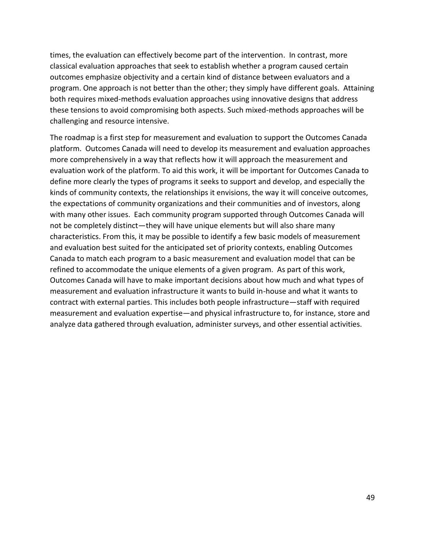times, the evaluation can effectively become part of the intervention. In contrast, more classical evaluation approaches that seek to establish whether a program caused certain outcomes emphasize objectivity and a certain kind of distance between evaluators and a program. One approach is not better than the other; they simply have different goals. Attaining both requires mixed-methods evaluation approaches using innovative designs that address these tensions to avoid compromising both aspects. Such mixed-methods approaches will be challenging and resource intensive.

The roadmap is a first step for measurement and evaluation to support the Outcomes Canada platform. Outcomes Canada will need to develop its measurement and evaluation approaches more comprehensively in a way that reflects how it will approach the measurement and evaluation work of the platform. To aid this work, it will be important for Outcomes Canada to define more clearly the types of programs it seeks to support and develop, and especially the kinds of community contexts, the relationships it envisions, the way it will conceive outcomes, the expectations of community organizations and their communities and of investors, along with many other issues. Each community program supported through Outcomes Canada will not be completely distinct—they will have unique elements but will also share many characteristics. From this, it may be possible to identify a few basic models of measurement and evaluation best suited for the anticipated set of priority contexts, enabling Outcomes Canada to match each program to a basic measurement and evaluation model that can be refined to accommodate the unique elements of a given program. As part of this work, Outcomes Canada will have to make important decisions about how much and what types of measurement and evaluation infrastructure it wants to build in-house and what it wants to contract with external parties. This includes both people infrastructure—staff with required measurement and evaluation expertise—and physical infrastructure to, for instance, store and analyze data gathered through evaluation, administer surveys, and other essential activities.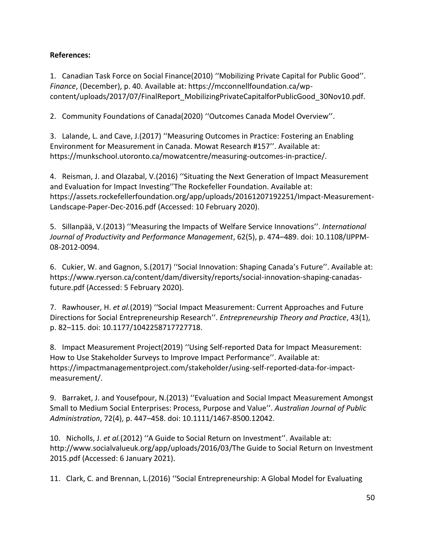## **References:**

1. Canadian Task Force on Social Finance(2010) ''Mobilizing Private Capital for Public Good''. *Finance*, (December), p. 40. Available at: https://mcconnellfoundation.ca/wpcontent/uploads/2017/07/FinalReport\_MobilizingPrivateCapitalforPublicGood\_30Nov10.pdf.

2. Community Foundations of Canada(2020) ''Outcomes Canada Model Overview''.

3. Lalande, L. and Cave, J.(2017) ''Measuring Outcomes in Practice: Fostering an Enabling Environment for Measurement in Canada. Mowat Research #157''. Available at: https://munkschool.utoronto.ca/mowatcentre/measuring-outcomes-in-practice/.

4. Reisman, J. and Olazabal, V.(2016) ''Situating the Next Generation of Impact Measurement and Evaluation for Impact Investing''The Rockefeller Foundation. Available at: https://assets.rockefellerfoundation.org/app/uploads/20161207192251/Impact-Measurement-Landscape-Paper-Dec-2016.pdf (Accessed: 10 February 2020).

5. Sillanpää, V.(2013) ''Measuring the Impacts of Welfare Service Innovations''. *International Journal of Productivity and Performance Management*, 62(5), p. 474–489. doi: 10.1108/IJPPM-08-2012-0094.

6. Cukier, W. and Gagnon, S.(2017) ''Social Innovation: Shaping Canada's Future''. Available at: https://www.ryerson.ca/content/dam/diversity/reports/social-innovation-shaping-canadasfuture.pdf (Accessed: 5 February 2020).

7. Rawhouser, H. *et al.*(2019) ''Social Impact Measurement: Current Approaches and Future Directions for Social Entrepreneurship Research''. *Entrepreneurship Theory and Practice*, 43(1), p. 82–115. doi: 10.1177/1042258717727718.

8. Impact Measurement Project(2019) ''Using Self-reported Data for Impact Measurement: How to Use Stakeholder Surveys to Improve Impact Performance''. Available at: https://impactmanagementproject.com/stakeholder/using-self-reported-data-for-impactmeasurement/.

9. Barraket, J. and Yousefpour, N.(2013) ''Evaluation and Social Impact Measurement Amongst Small to Medium Social Enterprises: Process, Purpose and Value''. *Australian Journal of Public Administration*, 72(4), p. 447–458. doi: 10.1111/1467-8500.12042.

10. Nicholls, J. *et al.*(2012) ''A Guide to Social Return on Investment''. Available at: http://www.socialvalueuk.org/app/uploads/2016/03/The Guide to Social Return on Investment 2015.pdf (Accessed: 6 January 2021).

11. Clark, C. and Brennan, L.(2016) ''Social Entrepreneurship: A Global Model for Evaluating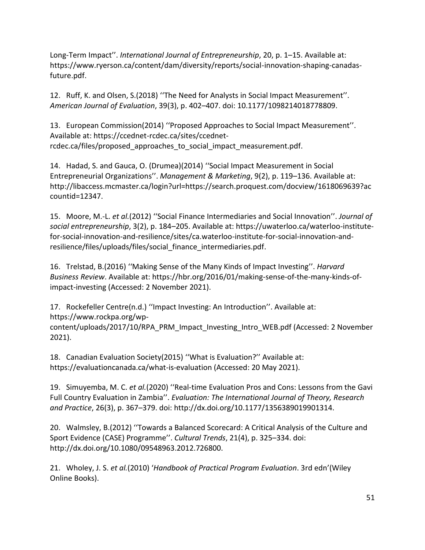Long-Term Impact''. *International Journal of Entrepreneurship*, 20, p. 1–15. Available at: https://www.ryerson.ca/content/dam/diversity/reports/social-innovation-shaping-canadasfuture.pdf.

12. Ruff, K. and Olsen, S.(2018) ''The Need for Analysts in Social Impact Measurement''. *American Journal of Evaluation*, 39(3), p. 402–407. doi: 10.1177/1098214018778809.

13. European Commission(2014) ''Proposed Approaches to Social Impact Measurement''. Available at: https://ccednet-rcdec.ca/sites/ccednetrcdec.ca/files/proposed\_approaches\_to\_social\_impact\_measurement.pdf.

14. Hadad, S. and Gauca, O. (Drumea)(2014) ''Social Impact Measurement in Social Entrepreneurial Organizations''. *Management & Marketing*, 9(2), p. 119–136. Available at: http://libaccess.mcmaster.ca/login?url=https://search.proquest.com/docview/1618069639?ac countid=12347.

15. Moore, M.-L. *et al.*(2012) ''Social Finance Intermediaries and Social Innovation''. *Journal of social entrepreneurship*, 3(2), p. 184–205. Available at: https://uwaterloo.ca/waterloo-institutefor-social-innovation-and-resilience/sites/ca.waterloo-institute-for-social-innovation-andresilience/files/uploads/files/social\_finance\_intermediaries.pdf.

16. Trelstad, B.(2016) ''Making Sense of the Many Kinds of Impact Investing''. *Harvard Business Review*. Available at: https://hbr.org/2016/01/making-sense-of-the-many-kinds-ofimpact-investing (Accessed: 2 November 2021).

17. Rockefeller Centre(n.d.) ''Impact Investing: An Introduction''. Available at: https://www.rockpa.org/wpcontent/uploads/2017/10/RPA\_PRM\_Impact\_Investing\_Intro\_WEB.pdf (Accessed: 2 November 2021).

18. Canadian Evaluation Society(2015) ''What is Evaluation?'' Available at: https://evaluationcanada.ca/what-is-evaluation (Accessed: 20 May 2021).

19. Simuyemba, M. C. *et al.*(2020) ''Real-time Evaluation Pros and Cons: Lessons from the Gavi Full Country Evaluation in Zambia''. *Evaluation: The International Journal of Theory, Research and Practice*, 26(3), p. 367–379. doi: http://dx.doi.org/10.1177/1356389019901314.

20. Walmsley, B.(2012) ''Towards a Balanced Scorecard: A Critical Analysis of the Culture and Sport Evidence (CASE) Programme''. *Cultural Trends*, 21(4), p. 325–334. doi: http://dx.doi.org/10.1080/09548963.2012.726800.

21. Wholey, J. S. *et al.*(2010) '*Handbook of Practical Program Evaluation*. 3rd edn'(Wiley Online Books).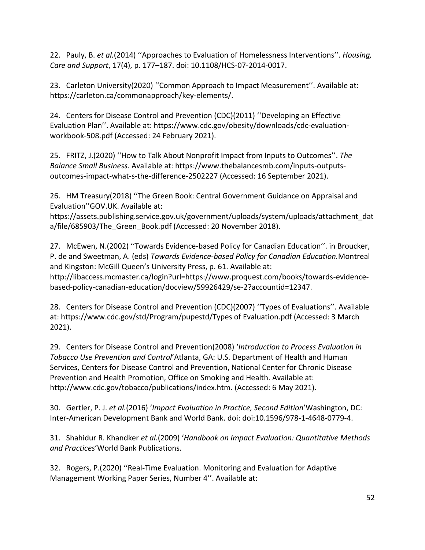22. Pauly, B. *et al.*(2014) ''Approaches to Evaluation of Homelessness Interventions''. *Housing, Care and Support*, 17(4), p. 177–187. doi: 10.1108/HCS-07-2014-0017.

23. Carleton University(2020) ''Common Approach to Impact Measurement''. Available at: https://carleton.ca/commonapproach/key-elements/.

24. Centers for Disease Control and Prevention (CDC)(2011) ''Developing an Effective Evaluation Plan''. Available at: https://www.cdc.gov/obesity/downloads/cdc-evaluationworkbook-508.pdf (Accessed: 24 February 2021).

25. FRITZ, J.(2020) ''How to Talk About Nonprofit Impact from Inputs to Outcomes''. *The Balance Small Business*. Available at: https://www.thebalancesmb.com/inputs-outputsoutcomes-impact-what-s-the-difference-2502227 (Accessed: 16 September 2021).

26. HM Treasury(2018) ''The Green Book: Central Government Guidance on Appraisal and Evaluation''GOV.UK. Available at:

https://assets.publishing.service.gov.uk/government/uploads/system/uploads/attachment\_dat a/file/685903/The Green Book.pdf (Accessed: 20 November 2018).

27. McEwen, N.(2002) ''Towards Evidence-based Policy for Canadian Education''. in Broucker, P. de and Sweetman, A. (eds) *Towards Evidence-based Policy for Canadian Education.*Montreal and Kingston: McGill Queen's University Press, p. 61. Available at:

http://libaccess.mcmaster.ca/login?url=https://www.proquest.com/books/towards-evidencebased-policy-canadian-education/docview/59926429/se-2?accountid=12347.

28. Centers for Disease Control and Prevention (CDC)(2007) ''Types of Evaluations''. Available at: https://www.cdc.gov/std/Program/pupestd/Types of Evaluation.pdf (Accessed: 3 March 2021).

29. Centers for Disease Control and Prevention(2008) '*Introduction to Process Evaluation in Tobacco Use Prevention and Control*'Atlanta, GA: U.S. Department of Health and Human Services, Centers for Disease Control and Prevention, National Center for Chronic Disease Prevention and Health Promotion, Office on Smoking and Health. Available at: http://www.cdc.gov/tobacco/publications/index.htm. (Accessed: 6 May 2021).

30. Gertler, P. J. *et al.*(2016) '*Impact Evaluation in Practice, Second Edition*'Washington, DC: Inter-American Development Bank and World Bank. doi: doi:10.1596/978-1-4648-0779-4.

31. Shahidur R. Khandker *et al.*(2009) '*Handbook on Impact Evaluation: Quantitative Methods and Practices*'World Bank Publications.

32. Rogers, P.(2020) ''Real-Time Evaluation. Monitoring and Evaluation for Adaptive Management Working Paper Series, Number 4''. Available at: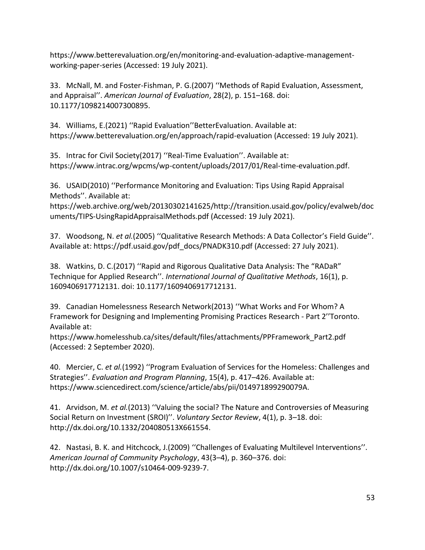https://www.betterevaluation.org/en/monitoring-and-evaluation-adaptive-managementworking-paper-series (Accessed: 19 July 2021).

33. McNall, M. and Foster-Fishman, P. G.(2007) ''Methods of Rapid Evaluation, Assessment, and Appraisal''. *American Journal of Evaluation*, 28(2), p. 151–168. doi: 10.1177/1098214007300895.

34. Williams, E.(2021) ''Rapid Evaluation''BetterEvaluation. Available at: https://www.betterevaluation.org/en/approach/rapid-evaluation (Accessed: 19 July 2021).

35. Intrac for Civil Society(2017) ''Real-Time Evaluation''. Available at: https://www.intrac.org/wpcms/wp-content/uploads/2017/01/Real-time-evaluation.pdf.

36. USAID(2010) ''Performance Monitoring and Evaluation: Tips Using Rapid Appraisal Methods''. Available at:

https://web.archive.org/web/20130302141625/http://transition.usaid.gov/policy/evalweb/doc uments/TIPS-UsingRapidAppraisalMethods.pdf (Accessed: 19 July 2021).

37. Woodsong, N. *et al.*(2005) ''Qualitative Research Methods: A Data Collector's Field Guide''. Available at: https://pdf.usaid.gov/pdf\_docs/PNADK310.pdf (Accessed: 27 July 2021).

38. Watkins, D. C.(2017) ''Rapid and Rigorous Qualitative Data Analysis: The "RADaR" Technique for Applied Research''. *International Journal of Qualitative Methods*, 16(1), p. 1609406917712131. doi: 10.1177/1609406917712131.

39. Canadian Homelessness Research Network(2013) ''What Works and For Whom? A Framework for Designing and Implementing Promising Practices Research - Part 2''Toronto. Available at:

https://www.homelesshub.ca/sites/default/files/attachments/PPFramework\_Part2.pdf (Accessed: 2 September 2020).

40. Mercier, C. *et al.*(1992) ''Program Evaluation of Services for the Homeless: Challenges and Strategies''. *Evaluation and Program Planning*, 15(4), p. 417–426. Available at: https://www.sciencedirect.com/science/article/abs/pii/014971899290079A.

41. Arvidson, M. *et al.*(2013) ''Valuing the social? The Nature and Controversies of Measuring Social Return on Investment (SROI)''. *Voluntary Sector Review*, 4(1), p. 3–18. doi: http://dx.doi.org/10.1332/204080513X661554.

42. Nastasi, B. K. and Hitchcock, J.(2009) ''Challenges of Evaluating Multilevel Interventions''. *American Journal of Community Psychology*, 43(3–4), p. 360–376. doi: http://dx.doi.org/10.1007/s10464-009-9239-7.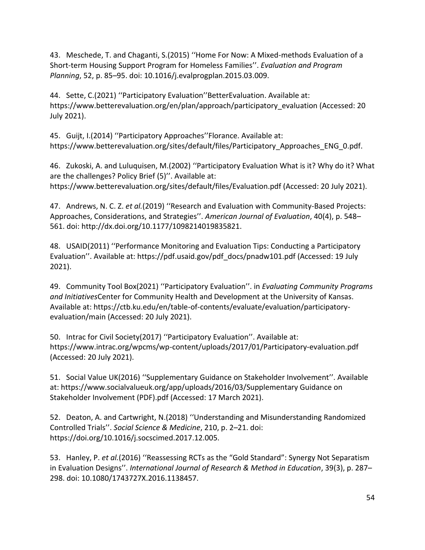43. Meschede, T. and Chaganti, S.(2015) ''Home For Now: A Mixed-methods Evaluation of a Short-term Housing Support Program for Homeless Families''. *Evaluation and Program Planning*, 52, p. 85–95. doi: 10.1016/j.evalprogplan.2015.03.009.

44. Sette, C.(2021) ''Participatory Evaluation''BetterEvaluation. Available at: https://www.betterevaluation.org/en/plan/approach/participatory\_evaluation (Accessed: 20 July 2021).

45. Guijt, I.(2014) ''Participatory Approaches''Florance. Available at: https://www.betterevaluation.org/sites/default/files/Participatory Approaches ENG 0.pdf.

46. Zukoski, A. and Luluquisen, M.(2002) ''Participatory Evaluation What is it? Why do it? What are the challenges? Policy Brief (5)''. Available at: https://www.betterevaluation.org/sites/default/files/Evaluation.pdf (Accessed: 20 July 2021).

47. Andrews, N. C. Z. *et al.*(2019) ''Research and Evaluation with Community-Based Projects: Approaches, Considerations, and Strategies''. *American Journal of Evaluation*, 40(4), p. 548– 561. doi: http://dx.doi.org/10.1177/1098214019835821.

48. USAID(2011) ''Performance Monitoring and Evaluation Tips: Conducting a Participatory Evaluation''. Available at: https://pdf.usaid.gov/pdf\_docs/pnadw101.pdf (Accessed: 19 July 2021).

49. Community Tool Box(2021) ''Participatory Evaluation''. in *Evaluating Community Programs and Initiatives*Center for Community Health and Development at the University of Kansas. Available at: https://ctb.ku.edu/en/table-of-contents/evaluate/evaluation/participatoryevaluation/main (Accessed: 20 July 2021).

50. Intrac for Civil Society(2017) ''Participatory Evaluation''. Available at: https://www.intrac.org/wpcms/wp-content/uploads/2017/01/Participatory-evaluation.pdf (Accessed: 20 July 2021).

51. Social Value UK(2016) ''Supplementary Guidance on Stakeholder Involvement''. Available at: https://www.socialvalueuk.org/app/uploads/2016/03/Supplementary Guidance on Stakeholder Involvement (PDF).pdf (Accessed: 17 March 2021).

52. Deaton, A. and Cartwright, N.(2018) ''Understanding and Misunderstanding Randomized Controlled Trials''. *Social Science & Medicine*, 210, p. 2–21. doi: https://doi.org/10.1016/j.socscimed.2017.12.005.

53. Hanley, P. *et al.*(2016) ''Reassessing RCTs as the "Gold Standard": Synergy Not Separatism in Evaluation Designs''. *International Journal of Research & Method in Education*, 39(3), p. 287– 298. doi: 10.1080/1743727X.2016.1138457.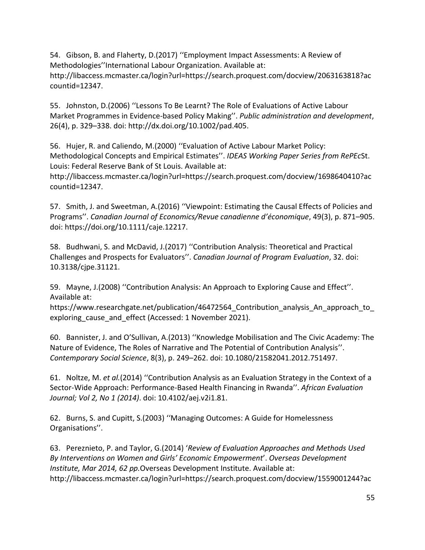54. Gibson, B. and Flaherty, D.(2017) ''Employment Impact Assessments: A Review of Methodologies''International Labour Organization. Available at: http://libaccess.mcmaster.ca/login?url=https://search.proquest.com/docview/2063163818?ac countid=12347.

55. Johnston, D.(2006) ''Lessons To Be Learnt? The Role of Evaluations of Active Labour Market Programmes in Evidence-based Policy Making''. *Public administration and development*, 26(4), p. 329–338. doi: http://dx.doi.org/10.1002/pad.405.

56. Hujer, R. and Caliendo, M.(2000) ''Evaluation of Active Labour Market Policy: Methodological Concepts and Empirical Estimates''. *IDEAS Working Paper Series from RePEc*St. Louis: Federal Reserve Bank of St Louis. Available at:

http://libaccess.mcmaster.ca/login?url=https://search.proquest.com/docview/1698640410?ac countid=12347.

57. Smith, J. and Sweetman, A.(2016) ''Viewpoint: Estimating the Causal Effects of Policies and Programs''. *Canadian Journal of Economics/Revue canadienne d'économique*, 49(3), p. 871–905. doi: https://doi.org/10.1111/caje.12217.

58. Budhwani, S. and McDavid, J.(2017) ''Contribution Analysis: Theoretical and Practical Challenges and Prospects for Evaluators''. *Canadian Journal of Program Evaluation*, 32. doi: 10.3138/cjpe.31121.

59. Mayne, J.(2008) ''Contribution Analysis: An Approach to Exploring Cause and Effect''. Available at:

https://www.researchgate.net/publication/46472564 Contribution analysis An approach to exploring cause and effect (Accessed: 1 November 2021).

60. Bannister, J. and O'Sullivan, A.(2013) ''Knowledge Mobilisation and The Civic Academy: The Nature of Evidence, The Roles of Narrative and The Potential of Contribution Analysis''. *Contemporary Social Science*, 8(3), p. 249–262. doi: 10.1080/21582041.2012.751497.

61. Noltze, M. *et al.*(2014) ''Contribution Analysis as an Evaluation Strategy in the Context of a Sector-Wide Approach: Performance-Based Health Financing in Rwanda''. *African Evaluation Journal; Vol 2, No 1 (2014)*. doi: 10.4102/aej.v2i1.81.

62. Burns, S. and Cupitt, S.(2003) ''Managing Outcomes: A Guide for Homelessness Organisations''.

63. Pereznieto, P. and Taylor, G.(2014) '*Review of Evaluation Approaches and Methods Used By Interventions on Women and Girls' Economic Empowerment*'. *Overseas Development Institute, Mar 2014, 62 pp.*Overseas Development Institute. Available at: http://libaccess.mcmaster.ca/login?url=https://search.proquest.com/docview/1559001244?ac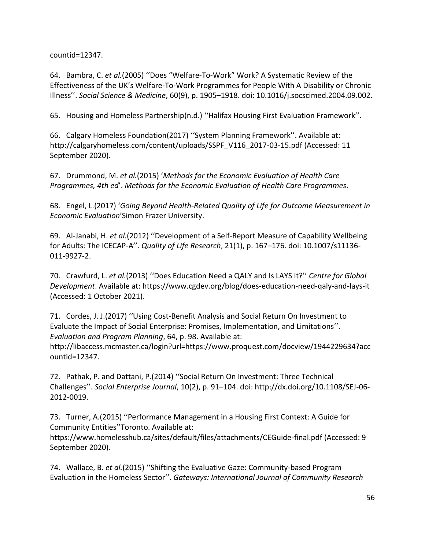countid=12347.

64. Bambra, C. *et al.*(2005) ''Does "Welfare-To-Work" Work? A Systematic Review of the Effectiveness of the UK's Welfare-To-Work Programmes for People With A Disability or Chronic Illness''. *Social Science & Medicine*, 60(9), p. 1905–1918. doi: 10.1016/j.socscimed.2004.09.002.

65. Housing and Homeless Partnership(n.d.) ''Halifax Housing First Evaluation Framework''.

66. Calgary Homeless Foundation(2017) ''System Planning Framework''. Available at: http://calgaryhomeless.com/content/uploads/SSPF\_V116\_2017-03-15.pdf (Accessed: 11 September 2020).

67. Drummond, M. *et al.*(2015) '*Methods for the Economic Evaluation of Health Care Programmes, 4th ed*'. *Methods for the Economic Evaluation of Health Care Programmes*.

68. Engel, L.(2017) '*Going Beyond Health-Related Quality of Life for Outcome Measurement in Economic Evaluation*'Simon Frazer University.

69. Al-Janabi, H. *et al.*(2012) ''Development of a Self-Report Measure of Capability Wellbeing for Adults: The ICECAP-A''. *Quality of Life Research*, 21(1), p. 167–176. doi: 10.1007/s11136- 011-9927-2.

70. Crawfurd, L. *et al.*(2013) ''Does Education Need a QALY and Is LAYS It?'' *Centre for Global Development*. Available at: https://www.cgdev.org/blog/does-education-need-qaly-and-lays-it (Accessed: 1 October 2021).

71. Cordes, J. J.(2017) ''Using Cost-Benefit Analysis and Social Return On Investment to Evaluate the Impact of Social Enterprise: Promises, Implementation, and Limitations''. *Evaluation and Program Planning*, 64, p. 98. Available at:

http://libaccess.mcmaster.ca/login?url=https://www.proquest.com/docview/1944229634?acc ountid=12347.

72. Pathak, P. and Dattani, P.(2014) ''Social Return On Investment: Three Technical Challenges''. *Social Enterprise Journal*, 10(2), p. 91–104. doi: http://dx.doi.org/10.1108/SEJ-06- 2012-0019.

73. Turner, A.(2015) ''Performance Management in a Housing First Context: A Guide for Community Entities''Toronto. Available at:

https://www.homelesshub.ca/sites/default/files/attachments/CEGuide-final.pdf (Accessed: 9 September 2020).

74. Wallace, B. *et al.*(2015) ''Shifting the Evaluative Gaze: Community-based Program Evaluation in the Homeless Sector''. *Gateways: International Journal of Community Research*